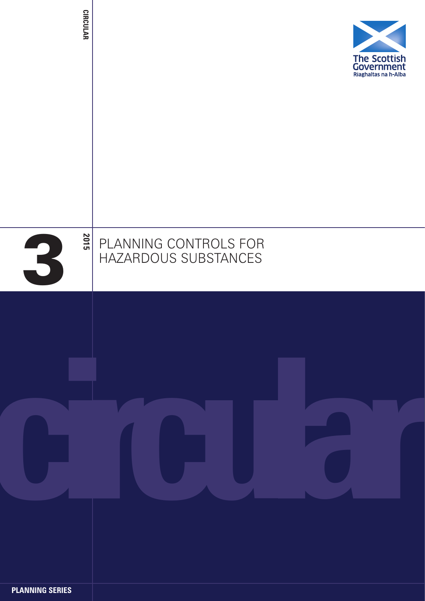| <b>CIRCULAR</b> |                                               | The Scottish<br>Government<br>Riaghaltas na h-Alba |
|-----------------|-----------------------------------------------|----------------------------------------------------|
| 2015<br>3       | PLANNING CONTROLS FOR<br>HAZARDOUS SUBSTANCES |                                                    |
|                 |                                               |                                                    |

**PLANNING SERIES**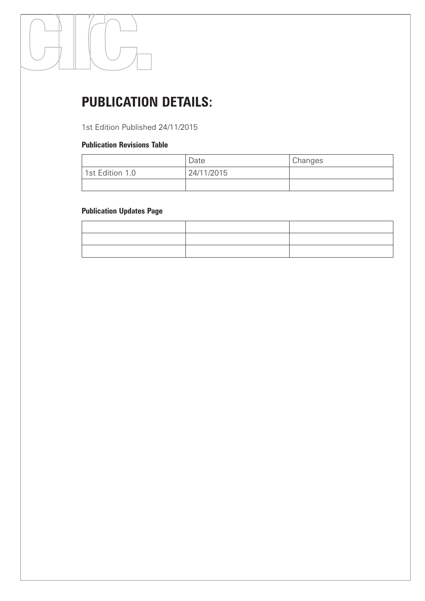# **PUBLICATION DETAILS:**

1st Edition Published 24/11/2015

#### **Publication Revisions Table**

|                 | Date       | Changes |
|-----------------|------------|---------|
| 1st Edition 1.0 | 24/11/2015 |         |
|                 |            |         |

# **Publication Updates Page**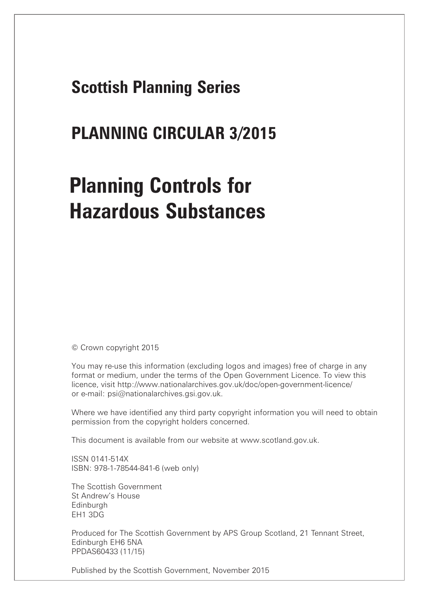# **Scottish Planning Series**

# **PLANNING CIRCULAR 3/2015**

# **Planning Controls for Hazardous Substances**

© Crown copyright 2015

You may re-use this information (excluding logos and images) free of charge in any format or medium, under the terms of the Open Government Licence. To view this licence, visit http://www.nationalarchives.gov.uk/doc/open-government-licence/ or e-mail: psi@nationalarchives.gsi.gov.uk.

Where we have identified any third party copyright information you will need to obtain permission from the copyright holders concerned.

This document is available from our website at www.scotland.gov.uk.

ISSN 0141-514X ISBN: 978-1-78544-841-6 (web only)

The Scottish Government St Andrew's House **Edinburgh** EH1 3DG

Produced for The Scottish Government by APS Group Scotland, 21 Tennant Street, Edinburgh EH6 5NA PPDAS60433 (11/15)

Published by the Scottish Government, November 2015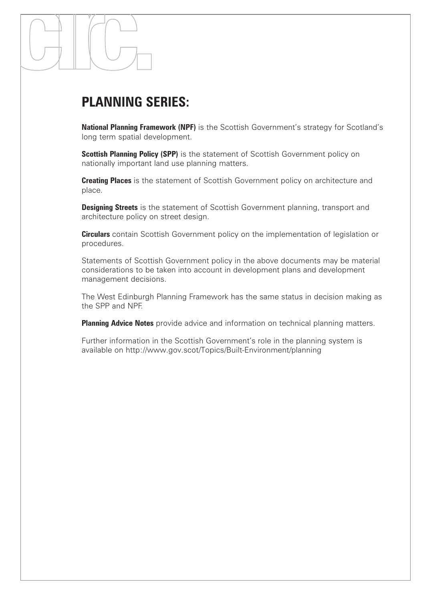# **PLANNING SERIES:**

**National Planning Framework (NPF)** is the Scottish Government's strategy for Scotland's long term spatial development.

**Scottish Planning Policy (SPP)** is the statement of Scottish Government policy on nationally important land use planning matters.

**Creating Places** is the statement of Scottish Government policy on architecture and place.

**Designing Streets** is the statement of Scottish Government planning, transport and architecture policy on street design.

**Circulars** contain Scottish Government policy on the implementation of legislation or procedures.

Statements of Scottish Government policy in the above documents may be material considerations to be taken into account in development plans and development management decisions.

The West Edinburgh Planning Framework has the same status in decision making as the SPP and NPF.

**Planning Advice Notes** provide advice and information on technical planning matters.

Further information in the Scottish Government's role in the planning system is available on http://www.gov.scot/Topics/Built-Environment/planning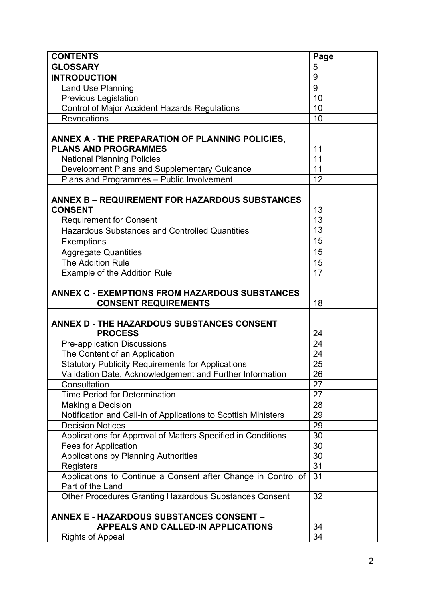| <b>CONTENTS</b>                                                                           | Page           |
|-------------------------------------------------------------------------------------------|----------------|
| <b>GLOSSARY</b>                                                                           | 5              |
| <b>INTRODUCTION</b>                                                                       | $\overline{9}$ |
| Land Use Planning                                                                         | 9              |
| <b>Previous Legislation</b>                                                               | 10             |
| <b>Control of Major Accident Hazards Regulations</b>                                      | 10             |
| <b>Revocations</b>                                                                        | 10             |
|                                                                                           |                |
| ANNEX A - THE PREPARATION OF PLANNING POLICIES,                                           |                |
| <b>PLANS AND PROGRAMMES</b>                                                               | 11             |
| <b>National Planning Policies</b>                                                         | 11             |
| Development Plans and Supplementary Guidance                                              | 11             |
| Plans and Programmes - Public Involvement                                                 | 12             |
|                                                                                           |                |
| <b>ANNEX B - REQUIREMENT FOR HAZARDOUS SUBSTANCES</b>                                     |                |
| <b>CONSENT</b>                                                                            | 13             |
| <b>Requirement for Consent</b>                                                            | 13             |
| Hazardous Substances and Controlled Quantities                                            | 13             |
| Exemptions                                                                                | 15             |
| <b>Aggregate Quantities</b>                                                               | 15             |
| <b>The Addition Rule</b>                                                                  | 15             |
| Example of the Addition Rule                                                              | 17             |
|                                                                                           |                |
| <b>ANNEX C - EXEMPTIONS FROM HAZARDOUS SUBSTANCES</b>                                     |                |
| <b>CONSENT REQUIREMENTS</b>                                                               | 18             |
|                                                                                           |                |
| ANNEX D - THE HAZARDOUS SUBSTANCES CONSENT                                                |                |
| <b>PROCESS</b>                                                                            | 24             |
| <b>Pre-application Discussions</b>                                                        | 24             |
| The Content of an Application                                                             | 24             |
| <b>Statutory Publicity Requirements for Applications</b>                                  | 25             |
| Validation Date, Acknowledgement and Further Information                                  | 26             |
| Consultation                                                                              | 27             |
| <b>Time Period for Determination</b>                                                      | 27             |
| Making a Decision                                                                         | 28             |
| Notification and Call-in of Applications to Scottish Ministers<br><b>Decision Notices</b> | 29             |
|                                                                                           | 29<br>30       |
| Applications for Approval of Matters Specified in Conditions                              | 30             |
| Fees for Application                                                                      | 30             |
| Applications by Planning Authorities                                                      | 31             |
| Registers<br>Applications to Continue a Consent after Change in Control of                | 31             |
| Part of the Land                                                                          |                |
| Other Procedures Granting Hazardous Substances Consent                                    | 32             |
|                                                                                           |                |
| <b>ANNEX E - HAZARDOUS SUBSTANCES CONSENT -</b>                                           |                |
| <b>APPEALS AND CALLED-IN APPLICATIONS</b>                                                 | 34             |
| <b>Rights of Appeal</b>                                                                   | 34             |
|                                                                                           |                |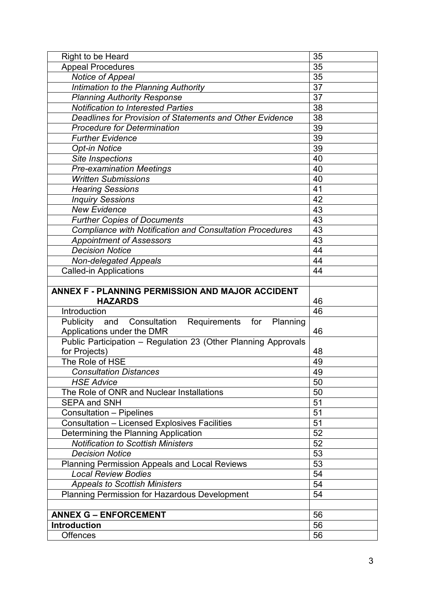|                                                                            | 35              |
|----------------------------------------------------------------------------|-----------------|
| <b>Appeal Procedures</b>                                                   | 35              |
| Notice of Appeal                                                           | $\overline{35}$ |
| Intimation to the Planning Authority                                       | 37              |
| <b>Planning Authority Response</b>                                         | 37              |
| <b>Notification to Interested Parties</b>                                  | 38              |
| Deadlines for Provision of Statements and Other Evidence                   | 38              |
| <b>Procedure for Determination</b>                                         | 39              |
| <b>Further Evidence</b>                                                    | 39              |
| <b>Opt-in Notice</b>                                                       | 39              |
| Site Inspections                                                           | 40              |
| <b>Pre-examination Meetings</b>                                            | 40              |
| <b>Written Submissions</b>                                                 | 40              |
| <b>Hearing Sessions</b>                                                    | 41              |
| <b>Inquiry Sessions</b>                                                    | 42              |
| <b>New Evidence</b>                                                        | 43              |
| <b>Further Copies of Documents</b>                                         | 43              |
| <b>Compliance with Notification and Consultation Procedures</b>            | 43              |
| <b>Appointment of Assessors</b>                                            | $\overline{43}$ |
| <b>Decision Notice</b>                                                     | 44              |
| <b>Non-delegated Appeals</b>                                               | 44              |
| <b>Called-in Applications</b>                                              | 44              |
|                                                                            |                 |
| ANNEX F - PLANNING PERMISSION AND MAJOR ACCIDENT                           |                 |
| <b>HAZARDS</b>                                                             | 46              |
| Introduction                                                               | 46              |
| <b>Publicity</b><br>Requirements<br>for<br>Planning<br>and<br>Consultation |                 |
| Applications under the DMR                                                 | 46              |
| Public Participation - Regulation 23 (Other Planning Approvals             |                 |
| for Projects)                                                              | 48              |
| The Role of HSE                                                            | 49              |
| <b>Consultation Distances</b>                                              |                 |
| <b>HSE Advice</b>                                                          | 49              |
|                                                                            | 50              |
| The Role of ONR and Nuclear Installations                                  | 50              |
| <b>SEPA and SNH</b>                                                        | 51              |
| <b>Consultation - Pipelines</b>                                            | 51              |
| <b>Consultation - Licensed Explosives Facilities</b>                       | $\overline{51}$ |
| Determining the Planning Application                                       | $\overline{52}$ |
| <b>Notification to Scottish Ministers</b>                                  | 52              |
| <b>Decision Notice</b>                                                     | 53              |
| <b>Planning Permission Appeals and Local Reviews</b>                       | 53              |
| <b>Local Review Bodies</b>                                                 | 54              |
| <b>Appeals to Scottish Ministers</b>                                       | 54              |
| Planning Permission for Hazardous Development                              | 54              |
|                                                                            |                 |
| <b>ANNEX G - ENFORCEMENT</b>                                               | 56              |
| <b>Introduction</b><br><b>Offences</b>                                     | 56<br>56        |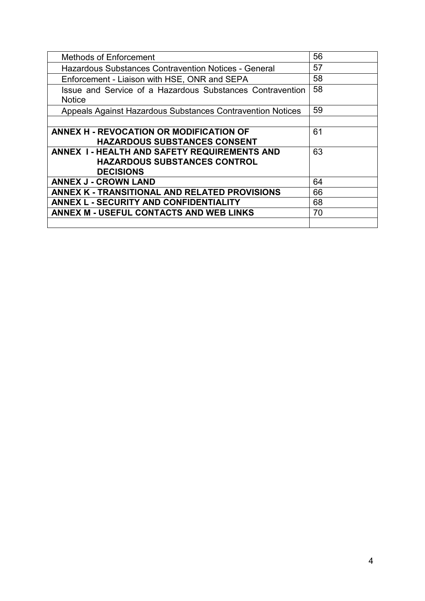| <b>Methods of Enforcement</b>                                                                           | 56 |
|---------------------------------------------------------------------------------------------------------|----|
| <b>Hazardous Substances Contravention Notices - General</b>                                             | 57 |
| Enforcement - Liaison with HSE, ONR and SEPA                                                            | 58 |
| Issue and Service of a Hazardous Substances Contravention<br><b>Notice</b>                              | 58 |
| Appeals Against Hazardous Substances Contravention Notices                                              | 59 |
|                                                                                                         |    |
| ANNEX H - REVOCATION OR MODIFICATION OF<br><b>HAZARDOUS SUBSTANCES CONSENT</b>                          | 61 |
| ANNEX I - HEALTH AND SAFETY REQUIREMENTS AND<br><b>HAZARDOUS SUBSTANCES CONTROL</b><br><b>DECISIONS</b> | 63 |
| <b>ANNEX J - CROWN LAND</b>                                                                             | 64 |
| ANNEX K - TRANSITIONAL AND RELATED PROVISIONS                                                           | 66 |
| <b>ANNEX L - SECURITY AND CONFIDENTIALITY</b>                                                           | 68 |
| ANNEX M - USEFUL CONTACTS AND WEB LINKS                                                                 | 70 |
|                                                                                                         |    |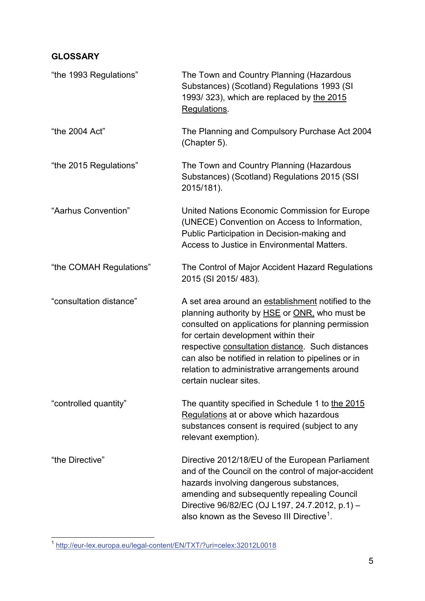# **GLOSSARY**

| "the 1993 Regulations"  | The Town and Country Planning (Hazardous<br>Substances) (Scotland) Regulations 1993 (SI<br>1993/ 323), which are replaced by the 2015<br>Regulations.                                                                                                                                                                                                                                   |
|-------------------------|-----------------------------------------------------------------------------------------------------------------------------------------------------------------------------------------------------------------------------------------------------------------------------------------------------------------------------------------------------------------------------------------|
| "the 2004 Act"          | The Planning and Compulsory Purchase Act 2004<br>(Chapter 5).                                                                                                                                                                                                                                                                                                                           |
| "the 2015 Regulations"  | The Town and Country Planning (Hazardous<br>Substances) (Scotland) Regulations 2015 (SSI<br>2015/181).                                                                                                                                                                                                                                                                                  |
| "Aarhus Convention"     | United Nations Economic Commission for Europe<br>(UNECE) Convention on Access to Information,<br>Public Participation in Decision-making and<br>Access to Justice in Environmental Matters.                                                                                                                                                                                             |
| "the COMAH Regulations" | The Control of Major Accident Hazard Regulations<br>2015 (SI 2015/483).                                                                                                                                                                                                                                                                                                                 |
| "consultation distance" | A set area around an establishment notified to the<br>planning authority by HSE or ONR, who must be<br>consulted on applications for planning permission<br>for certain development within their<br>respective consultation distance. Such distances<br>can also be notified in relation to pipelines or in<br>relation to administrative arrangements around<br>certain nuclear sites. |
| "controlled quantity"   | The quantity specified in Schedule 1 to the 2015<br>Regulations at or above which hazardous<br>substances consent is required (subject to any<br>relevant exemption).                                                                                                                                                                                                                   |
| "the Directive"         | Directive 2012/18/EU of the European Parliament<br>and of the Council on the control of major-accident<br>hazards involving dangerous substances,<br>amending and subsequently repealing Council<br>Directive 96/82/EC (OJ L197, 24.7.2012, p.1) -<br>also known as the Seveso III Directive <sup>1</sup> .                                                                             |

<span id="page-7-0"></span> <sup>1</sup> <http://eur-lex.europa.eu/legal-content/EN/TXT/?uri=celex:32012L0018>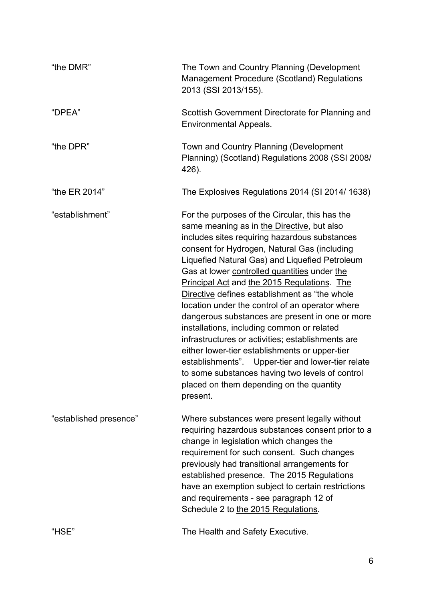| "the DMR"              | The Town and Country Planning (Development<br>Management Procedure (Scotland) Regulations<br>2013 (SSI 2013/155).                                                                                                                                                                                                                                                                                                                                                                                                                                                                                                                                                                                                                                                                                                                 |  |
|------------------------|-----------------------------------------------------------------------------------------------------------------------------------------------------------------------------------------------------------------------------------------------------------------------------------------------------------------------------------------------------------------------------------------------------------------------------------------------------------------------------------------------------------------------------------------------------------------------------------------------------------------------------------------------------------------------------------------------------------------------------------------------------------------------------------------------------------------------------------|--|
| "DPEA"                 | Scottish Government Directorate for Planning and<br><b>Environmental Appeals.</b>                                                                                                                                                                                                                                                                                                                                                                                                                                                                                                                                                                                                                                                                                                                                                 |  |
| "the DPR"              | Town and Country Planning (Development<br>Planning) (Scotland) Regulations 2008 (SSI 2008/<br>426).                                                                                                                                                                                                                                                                                                                                                                                                                                                                                                                                                                                                                                                                                                                               |  |
| "the ER 2014"          | The Explosives Regulations 2014 (SI 2014/1638)                                                                                                                                                                                                                                                                                                                                                                                                                                                                                                                                                                                                                                                                                                                                                                                    |  |
| "establishment"        | For the purposes of the Circular, this has the<br>same meaning as in the Directive, but also<br>includes sites requiring hazardous substances<br>consent for Hydrogen, Natural Gas (including<br>Liquefied Natural Gas) and Liquefied Petroleum<br>Gas at lower controlled quantities under the<br><b>Principal Act and the 2015 Regulations. The</b><br>Directive defines establishment as "the whole<br>location under the control of an operator where<br>dangerous substances are present in one or more<br>installations, including common or related<br>infrastructures or activities; establishments are<br>either lower-tier establishments or upper-tier<br>establishments". Upper-tier and lower-tier relate<br>to some substances having two levels of control<br>placed on them depending on the quantity<br>present. |  |
| "established presence" | Where substances were present legally without<br>requiring hazardous substances consent prior to a<br>change in legislation which changes the<br>requirement for such consent. Such changes<br>previously had transitional arrangements for<br>established presence. The 2015 Regulations<br>have an exemption subject to certain restrictions<br>and requirements - see paragraph 12 of<br>Schedule 2 to the 2015 Regulations.                                                                                                                                                                                                                                                                                                                                                                                                   |  |
| "HSE"                  | The Health and Safety Executive.                                                                                                                                                                                                                                                                                                                                                                                                                                                                                                                                                                                                                                                                                                                                                                                                  |  |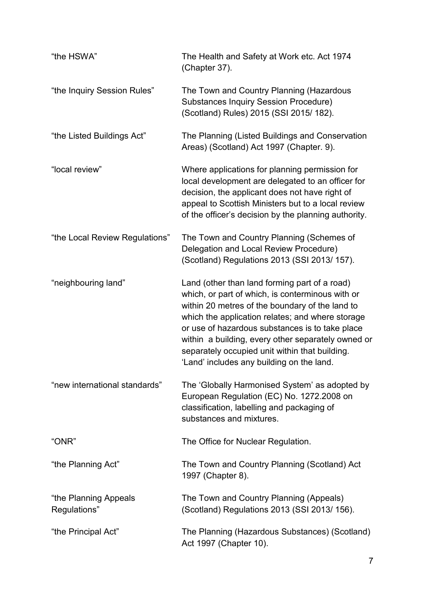| "the HSWA"                            | The Health and Safety at Work etc. Act 1974<br>(Chapter 37).                                                                                                                                                                                                                                                                                                                                                     |  |
|---------------------------------------|------------------------------------------------------------------------------------------------------------------------------------------------------------------------------------------------------------------------------------------------------------------------------------------------------------------------------------------------------------------------------------------------------------------|--|
| "the Inquiry Session Rules"           | The Town and Country Planning (Hazardous<br><b>Substances Inquiry Session Procedure)</b><br>(Scotland) Rules) 2015 (SSI 2015/182).                                                                                                                                                                                                                                                                               |  |
| "the Listed Buildings Act"            | The Planning (Listed Buildings and Conservation<br>Areas) (Scotland) Act 1997 (Chapter. 9).                                                                                                                                                                                                                                                                                                                      |  |
| "local review"                        | Where applications for planning permission for<br>local development are delegated to an officer for<br>decision, the applicant does not have right of<br>appeal to Scottish Ministers but to a local review<br>of the officer's decision by the planning authority.                                                                                                                                              |  |
| "the Local Review Regulations"        | The Town and Country Planning (Schemes of<br>Delegation and Local Review Procedure)<br>(Scotland) Regulations 2013 (SSI 2013/157).                                                                                                                                                                                                                                                                               |  |
| "neighbouring land"                   | Land (other than land forming part of a road)<br>which, or part of which, is conterminous with or<br>within 20 metres of the boundary of the land to<br>which the application relates; and where storage<br>or use of hazardous substances is to take place<br>within a building, every other separately owned or<br>separately occupied unit within that building.<br>'Land' includes any building on the land. |  |
| "new international standards"         | The 'Globally Harmonised System' as adopted by<br>European Regulation (EC) No. 1272.2008 on<br>classification, labelling and packaging of<br>substances and mixtures.                                                                                                                                                                                                                                            |  |
| "ONR"                                 | The Office for Nuclear Regulation.                                                                                                                                                                                                                                                                                                                                                                               |  |
| "the Planning Act"                    | The Town and Country Planning (Scotland) Act<br>1997 (Chapter 8).                                                                                                                                                                                                                                                                                                                                                |  |
| "the Planning Appeals<br>Regulations" | The Town and Country Planning (Appeals)<br>(Scotland) Regulations 2013 (SSI 2013/156).                                                                                                                                                                                                                                                                                                                           |  |
| "the Principal Act"                   | The Planning (Hazardous Substances) (Scotland)<br>Act 1997 (Chapter 10).                                                                                                                                                                                                                                                                                                                                         |  |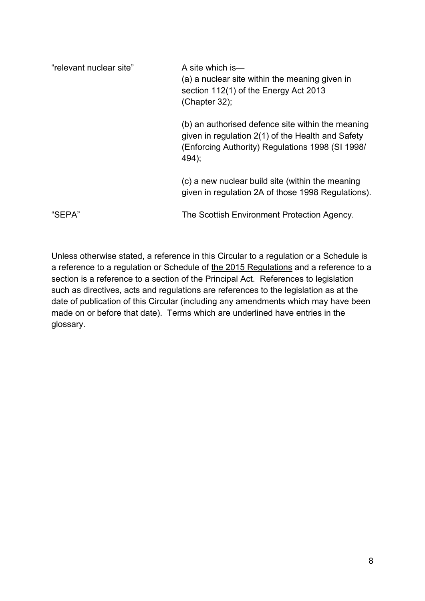| "relevant nuclear site" | A site which is—<br>(a) a nuclear site within the meaning given in<br>section 112(1) of the Energy Act 2013<br>(Chapter 32);                                        |
|-------------------------|---------------------------------------------------------------------------------------------------------------------------------------------------------------------|
|                         | (b) an authorised defence site within the meaning<br>given in regulation 2(1) of the Health and Safety<br>(Enforcing Authority) Regulations 1998 (SI 1998/<br>494); |
|                         | (c) a new nuclear build site (within the meaning<br>given in regulation 2A of those 1998 Regulations).                                                              |
| "SEPA"                  | The Scottish Environment Protection Agency.                                                                                                                         |

Unless otherwise stated, a reference in this Circular to a regulation or a Schedule is a reference to a regulation or Schedule of the 2015 Regulations and a reference to a section is a reference to a section of the Principal Act. References to legislation such as directives, acts and regulations are references to the legislation as at the date of publication of this Circular (including any amendments which may have been made on or before that date). Terms which are underlined have entries in the glossary.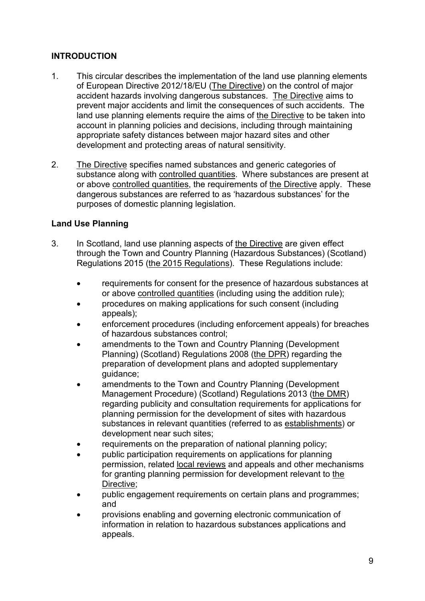# **INTRODUCTION**

- 1. This circular describes the implementation of the land use planning elements of European Directive 2012/18/EU (The Directive) on the control of major accident hazards involving dangerous substances. The Directive aims to prevent major accidents and limit the consequences of such accidents. The land use planning elements require the aims of the Directive to be taken into account in planning policies and decisions, including through maintaining appropriate safety distances between major hazard sites and other development and protecting areas of natural sensitivity.
- 2. The Directive specifies named substances and generic categories of substance along with controlled quantities. Where substances are present at or above controlled quantities, the requirements of the Directive apply. These dangerous substances are referred to as 'hazardous substances' for the purposes of domestic planning legislation.

# **Land Use Planning**

- 3. In Scotland, land use planning aspects of the Directive are given effect through the Town and Country Planning (Hazardous Substances) (Scotland) Regulations 2015 (the 2015 Regulations). These Regulations include:
	- requirements for consent for the presence of hazardous substances at or above controlled quantities (including using the addition rule);
	- procedures on making applications for such consent (including appeals);
	- enforcement procedures (including enforcement appeals) for breaches of hazardous substances control;
	- amendments to the Town and Country Planning (Development Planning) (Scotland) Regulations 2008 (the DPR) regarding the preparation of development plans and adopted supplementary guidance;
	- amendments to the Town and Country Planning (Development Management Procedure) (Scotland) Regulations 2013 (the DMR) regarding publicity and consultation requirements for applications for planning permission for the development of sites with hazardous substances in relevant quantities (referred to as establishments) or development near such sites;
	- requirements on the preparation of national planning policy;
	- public participation requirements on applications for planning permission, related local reviews and appeals and other mechanisms for granting planning permission for development relevant to the Directive;
	- public engagement requirements on certain plans and programmes; and
	- provisions enabling and governing electronic communication of information in relation to hazardous substances applications and appeals.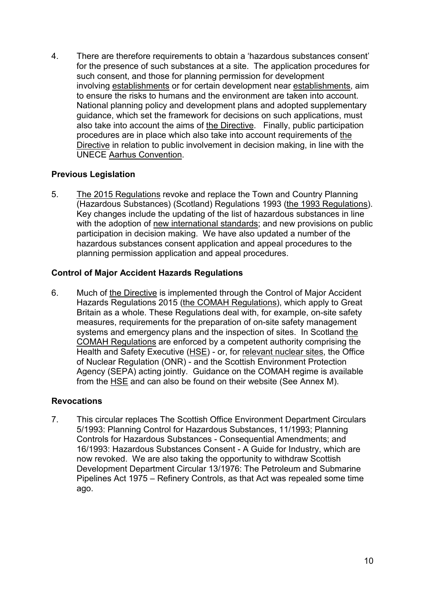4. There are therefore requirements to obtain a 'hazardous substances consent' for the presence of such substances at a site. The application procedures for such consent, and those for planning permission for development involving establishments or for certain development near establishments, aim to ensure the risks to humans and the environment are taken into account. National planning policy and development plans and adopted supplementary guidance, which set the framework for decisions on such applications, must also take into account the aims of the Directive. Finally, public participation procedures are in place which also take into account requirements of the Directive in relation to public involvement in decision making, in line with the UNECE Aarhus Convention.

# **Previous Legislation**

5. The 2015 Regulations revoke and replace the Town and Country Planning (Hazardous Substances) (Scotland) Regulations 1993 (the 1993 Regulations). Key changes include the updating of the list of hazardous substances in line with the adoption of new international standards; and new provisions on public participation in decision making. We have also updated a number of the hazardous substances consent application and appeal procedures to the planning permission application and appeal procedures.

#### **Control of Major Accident Hazards Regulations**

6. Much of the Directive is implemented through the Control of Major Accident Hazards Regulations 2015 (the COMAH Regulations), which apply to Great Britain as a whole. These Regulations deal with, for example, on-site safety measures, requirements for the preparation of on-site safety management systems and emergency plans and the inspection of sites. In Scotland the COMAH Regulations are enforced by a competent authority comprising the Health and Safety Executive (HSE) - or, for relevant nuclear sites, the Office of Nuclear Regulation (ONR) - and the Scottish Environment Protection Agency (SEPA) acting jointly. Guidance on the COMAH regime is available from the HSE and can also be found on their website (See Annex M).

#### **Revocations**

7. This circular replaces The Scottish Office Environment Department Circulars 5/1993: Planning Control for Hazardous Substances, 11/1993; Planning Controls for Hazardous Substances - Consequential Amendments; and 16/1993: Hazardous Substances Consent - A Guide for Industry, which are now revoked. We are also taking the opportunity to withdraw Scottish Development Department Circular 13/1976: The Petroleum and Submarine Pipelines Act 1975 – Refinery Controls, as that Act was repealed some time ago.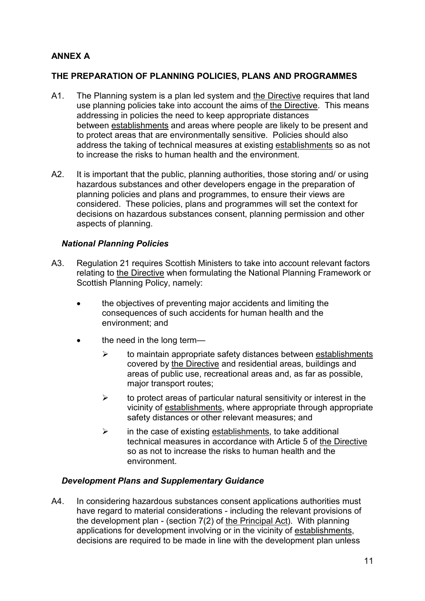# **ANNEX A**

## **THE PREPARATION OF PLANNING POLICIES, PLANS AND PROGRAMMES**

- A1. The Planning system is a plan led system and the Directive requires that land use planning policies take into account the aims of the Directive. This means addressing in policies the need to keep appropriate distances between establishments and areas where people are likely to be present and to protect areas that are environmentally sensitive. Policies should also address the taking of technical measures at existing establishments so as not to increase the risks to human health and the environment.
- A2. It is important that the public, planning authorities, those storing and/ or using hazardous substances and other developers engage in the preparation of planning policies and plans and programmes, to ensure their views are considered. These policies, plans and programmes will set the context for decisions on hazardous substances consent, planning permission and other aspects of planning.

#### *National Planning Policies*

- A3. Regulation 21 requires Scottish Ministers to take into account relevant factors relating to the Directive when formulating the National Planning Framework or Scottish Planning Policy, namely:
	- the objectives of preventing major accidents and limiting the consequences of such accidents for human health and the environment; and
	- the need in the long term-
		- $\triangleright$  to maintain appropriate safety distances between establishments covered by the Directive and residential areas, buildings and areas of public use, recreational areas and, as far as possible, major transport routes;
		- $\triangleright$  to protect areas of particular natural sensitivity or interest in the vicinity of establishments, where appropriate through appropriate safety distances or other relevant measures; and
		- $\triangleright$  in the case of existing establishments, to take additional technical measures in accordance with Article 5 of the Directive so as not to increase the risks to human health and the environment.

#### *Development Plans and Supplementary Guidance*

A4. In considering hazardous substances consent applications authorities must have regard to material considerations - including the relevant provisions of the development plan - (section 7(2) of the Principal Act). With planning applications for development involving or in the vicinity of establishments, decisions are required to be made in line with the development plan unless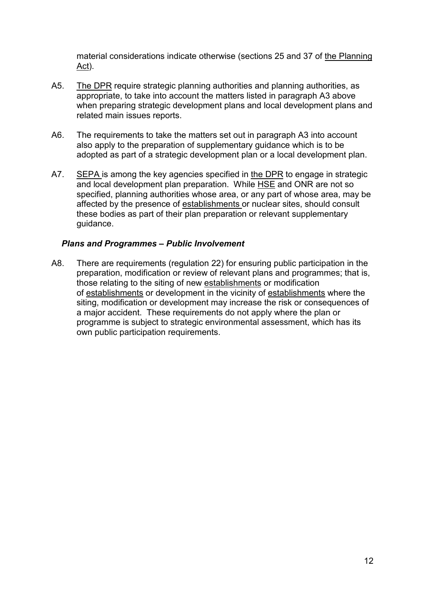material considerations indicate otherwise (sections 25 and 37 of the Planning Act).

- A5. The DPR require strategic planning authorities and planning authorities, as appropriate, to take into account the matters listed in paragraph A3 above when preparing strategic development plans and local development plans and related main issues reports.
- A6. The requirements to take the matters set out in paragraph A3 into account also apply to the preparation of supplementary guidance which is to be adopted as part of a strategic development plan or a local development plan.
- A7. SEPA is among the key agencies specified in the DPR to engage in strategic and local development plan preparation. While HSE and ONR are not so specified, planning authorities whose area, or any part of whose area, may be affected by the presence of establishments or nuclear sites, should consult these bodies as part of their plan preparation or relevant supplementary guidance.

#### *Plans and Programmes – Public Involvement*

A8. There are requirements (regulation 22) for ensuring public participation in the preparation, modification or review of relevant plans and programmes; that is, those relating to the siting of new establishments or modification of establishments or development in the vicinity of establishments where the siting, modification or development may increase the risk or consequences of a major accident. These requirements do not apply where the plan or programme is subject to strategic environmental assessment, which has its own public participation requirements.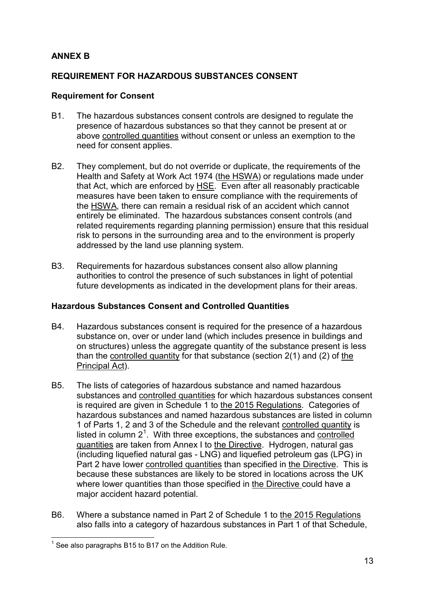# **ANNEX B**

## **REQUIREMENT FOR HAZARDOUS SUBSTANCES CONSENT**

#### **Requirement for Consent**

- B1. The hazardous substances consent controls are designed to regulate the presence of hazardous substances so that they cannot be present at or above controlled quantities without consent or unless an exemption to the need for consent applies.
- B2. They complement, but do not override or duplicate, the requirements of the Health and Safety at Work Act 1974 (the HSWA) or regulations made under that Act, which are enforced by HSE. Even after all reasonably practicable measures have been taken to ensure compliance with the requirements of the HSWA, there can remain a residual risk of an accident which cannot entirely be eliminated. The hazardous substances consent controls (and related requirements regarding planning permission) ensure that this residual risk to persons in the surrounding area and to the environment is properly addressed by the land use planning system.
- B3. Requirements for hazardous substances consent also allow planning authorities to control the presence of such substances in light of potential future developments as indicated in the development plans for their areas.

#### **Hazardous Substances Consent and Controlled Quantities**

- B4. Hazardous substances consent is required for the presence of a hazardous substance on, over or under land (which includes presence in buildings and on structures) unless the aggregate quantity of the substance present is less than the controlled quantity for that substance (section 2(1) and (2) of the Principal Act).
- B5. The lists of categories of hazardous substance and named hazardous substances and controlled quantities for which hazardous substances consent is required are given in Schedule 1 to the 2015 Regulations. Categories of hazardous substances and named hazardous substances are listed in column 1 of Parts 1, 2 and 3 of the Schedule and the relevant controlled quantity is listed in column  $2<sup>1</sup>$  $2<sup>1</sup>$  $2<sup>1</sup>$ . With three exceptions, the substances and controlled quantities are taken from Annex I to the Directive. Hydrogen, natural gas (including liquefied natural gas - LNG) and liquefied petroleum gas (LPG) in Part 2 have lower controlled quantities than specified in the Directive. This is because these substances are likely to be stored in locations across the UK where lower quantities than those specified in the Directive could have a major accident hazard potential.
- <span id="page-15-0"></span>B6. Where a substance named in Part 2 of Schedule 1 to the 2015 Regulations also falls into a category of hazardous substances in Part 1 of that Schedule,

 $1$  See also paragraphs B15 to B17 on the Addition Rule.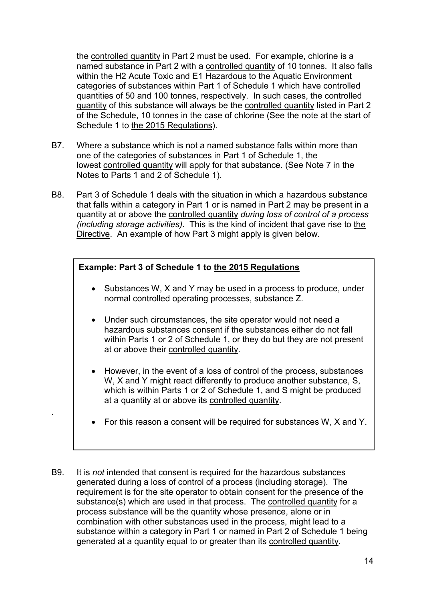the controlled quantity in Part 2 must be used. For example, chlorine is a named substance in Part 2 with a controlled quantity of 10 tonnes. It also falls within the H2 Acute Toxic and E1 Hazardous to the Aquatic Environment categories of substances within Part 1 of Schedule 1 which have controlled quantities of 50 and 100 tonnes, respectively. In such cases, the controlled quantity of this substance will always be the controlled quantity listed in Part 2 of the Schedule, 10 tonnes in the case of chlorine (See the note at the start of Schedule 1 to the 2015 Regulations).

- B7. Where a substance which is not a named substance falls within more than one of the categories of substances in Part 1 of Schedule 1, the lowest controlled quantity will apply for that substance. (See Note 7 in the Notes to Parts 1 and 2 of Schedule 1).
- B8. Part 3 of Schedule 1 deals with the situation in which a hazardous substance that falls within a category in Part 1 or is named in Part 2 may be present in a quantity at or above the controlled quantity *during loss of control of a process (including storage activities)*. This is the kind of incident that gave rise to the Directive. An example of how Part 3 might apply is given below.

# **Example: Part 3 of Schedule 1 to the 2015 Regulations**

.

- Substances W, X and Y may be used in a process to produce, under normal controlled operating processes, substance Z.
- Under such circumstances, the site operator would not need a hazardous substances consent if the substances either do not fall within Parts 1 or 2 of Schedule 1, or they do but they are not present at or above their controlled quantity.
- However, in the event of a loss of control of the process, substances W, X and Y might react differently to produce another substance, S, which is within Parts 1 or 2 of Schedule 1, and S might be produced at a quantity at or above its controlled quantity.
- For this reason a consent will be required for substances W, X and Y.
- B9. It is *not* intended that consent is required for the hazardous substances generated during a loss of control of a process (including storage). The requirement is for the site operator to obtain consent for the presence of the substance(s) which are used in that process. The controlled quantity for a process substance will be the quantity whose presence, alone or in combination with other substances used in the process, might lead to a substance within a category in Part 1 or named in Part 2 of Schedule 1 being generated at a quantity equal to or greater than its controlled quantity.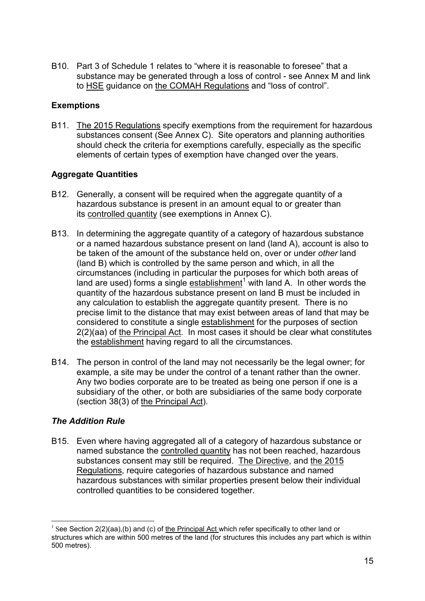B10. Part 3 of Schedule 1 relates to "where it is reasonable to foresee" that a substance may be generated through a loss of control - see Annex M and link to HSE guidance on the COMAH Regulations and "loss of control".

# **Exemptions**

B11. The 2015 Regulations specify exemptions from the requirement for hazardous substances consent (See Annex C). Site operators and planning authorities should check the criteria for exemptions carefully, especially as the specific elements of certain types of exemption have changed over the years.

#### **Aggregate Quantities**

- B12. Generally, a consent will be required when the aggregate quantity of a hazardous substance is present in an amount equal to or greater than its controlled quantity (see exemptions in Annex C).
- B13. In determining the aggregate quantity of a category of hazardous substance or a named hazardous substance present on land (land A), account is also to be taken of the amount of the substance held on, over or under *other* land (land B) which is controlled by the same person and which, in all the circumstances (including in particular the purposes for which both areas of land are used) forms a single establishment<sup>[1](#page-15-0)</sup> with land A. In other words the quantity of the hazardous substance present on land B must be included in any calculation to establish the aggregate quantity present. There is no precise limit to the distance that may exist between areas of land that may be considered to constitute a single establishment for the purposes of section 2(2)(aa) of the Principal Act. In most cases it should be clear what constitutes the establishment having regard to all the circumstances.
- B14. The person in control of the land may not necessarily be the legal owner; for example, a site may be under the control of a tenant rather than the owner. Any two bodies corporate are to be treated as being one person if one is a subsidiary of the other, or both are subsidiaries of the same body corporate (section 38(3) of the Principal Act).

# *The Addition Rule*

B15. Even where having aggregated all of a category of hazardous substance or named substance the controlled quantity has not been reached, hazardous substances consent may still be required. The Directive, and the 2015 Regulations, require categories of hazardous substance and named hazardous substances with similar properties present below their individual controlled quantities to be considered together.

<span id="page-17-0"></span><sup>&</sup>lt;sup>1</sup> See Section 2(2)(aa),(b) and (c) of the Principal Act which refer specifically to other land or structures which are within 500 metres of the land (for structures this includes any part which is within 500 metres).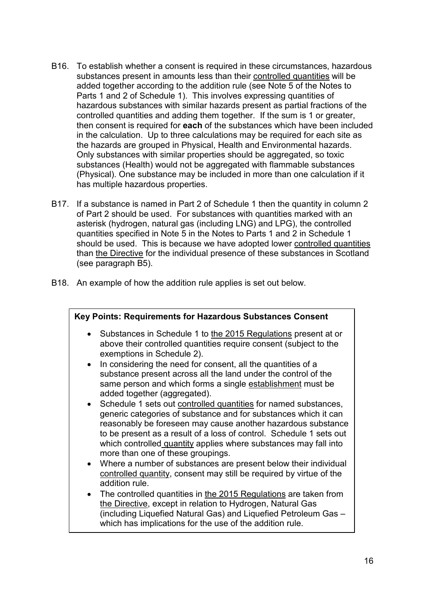- B16. To establish whether a consent is required in these circumstances, hazardous substances present in amounts less than their controlled quantities will be added together according to the addition rule (see Note 5 of the Notes to Parts 1 and 2 of Schedule 1). This involves expressing quantities of hazardous substances with similar hazards present as partial fractions of the controlled quantities and adding them together. If the sum is 1 or greater, then consent is required for **each** of the substances which have been included in the calculation. Up to three calculations may be required for each site as the hazards are grouped in Physical, Health and Environmental hazards. Only substances with similar properties should be aggregated, so toxic substances (Health) would not be aggregated with flammable substances (Physical). One substance may be included in more than one calculation if it has multiple hazardous properties.
- B17. If a substance is named in Part 2 of Schedule 1 then the quantity in column 2 of Part 2 should be used. For substances with quantities marked with an asterisk (hydrogen, natural gas (including LNG) and LPG), the controlled quantities specified in Note 5 in the Notes to Parts 1 and 2 in Schedule 1 should be used. This is because we have adopted lower controlled quantities than the Directive for the individual presence of these substances in Scotland (see paragraph B5).
- B18. An example of how the addition rule applies is set out below.

| Key Points: Requirements for Hazardous Substances Consent |                                                                                                                                                                                                                                                                                                                                                                                                                                                                                                                                                                                                                                                                                                                                                                                                                                                                                                                                                                                                                                                                                       |  |  |
|-----------------------------------------------------------|---------------------------------------------------------------------------------------------------------------------------------------------------------------------------------------------------------------------------------------------------------------------------------------------------------------------------------------------------------------------------------------------------------------------------------------------------------------------------------------------------------------------------------------------------------------------------------------------------------------------------------------------------------------------------------------------------------------------------------------------------------------------------------------------------------------------------------------------------------------------------------------------------------------------------------------------------------------------------------------------------------------------------------------------------------------------------------------|--|--|
|                                                           | Substances in Schedule 1 to the 2015 Regulations present at or<br>above their controlled quantities require consent (subject to the<br>exemptions in Schedule 2).<br>In considering the need for consent, all the quantities of a<br>substance present across all the land under the control of the<br>same person and which forms a single establishment must be<br>added together (aggregated).<br>Schedule 1 sets out controlled quantities for named substances,<br>generic categories of substance and for substances which it can<br>reasonably be foreseen may cause another hazardous substance<br>to be present as a result of a loss of control. Schedule 1 sets out<br>which controlled quantity applies where substances may fall into<br>more than one of these groupings.<br>Where a number of substances are present below their individual<br>controlled quantity, consent may still be required by virtue of the<br>addition rule.<br>The controlled quantities in the 2015 Regulations are taken from<br>the Directive, except in relation to Hydrogen, Natural Gas |  |  |
|                                                           | (including Liquefied Natural Gas) and Liquefied Petroleum Gas -<br>which has implications for the use of the addition rule.                                                                                                                                                                                                                                                                                                                                                                                                                                                                                                                                                                                                                                                                                                                                                                                                                                                                                                                                                           |  |  |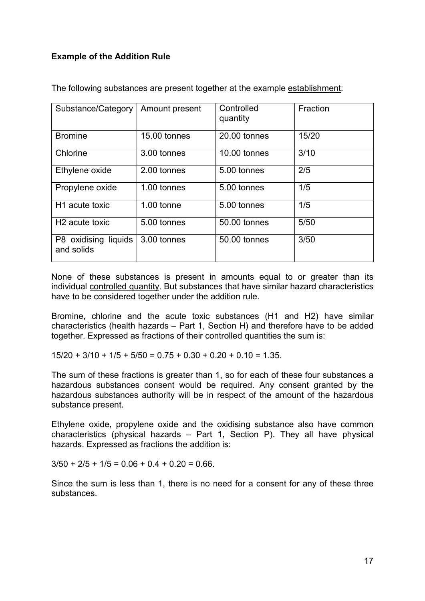# **Example of the Addition Rule**

| Substance/Category         | Amount present | Controlled   | Fraction |
|----------------------------|----------------|--------------|----------|
|                            |                | quantity     |          |
|                            |                |              |          |
|                            |                |              |          |
| <b>Bromine</b>             | 15.00 tonnes   | 20.00 tonnes | 15/20    |
|                            |                |              |          |
| Chlorine                   | 3.00 tonnes    | 10.00 tonnes | 3/10     |
|                            |                |              |          |
|                            |                |              |          |
| Ethylene oxide             | 2.00 tonnes    | 5.00 tonnes  | 2/5      |
|                            |                |              |          |
| Propylene oxide            | 1.00 tonnes    | 5.00 tonnes  | 1/5      |
|                            |                |              |          |
|                            |                |              |          |
| H <sub>1</sub> acute toxic | $1.00$ tonne   | 5.00 tonnes  | 1/5      |
|                            |                |              |          |
| H <sub>2</sub> acute toxic | 5.00 tonnes    | 50.00 tonnes | 5/50     |
|                            |                |              |          |
|                            |                | 50.00 tonnes | 3/50     |
| P8 oxidising liquids       | 3.00 tonnes    |              |          |
| and solids                 |                |              |          |
|                            |                |              |          |
|                            |                |              |          |

The following substances are present together at the example establishment:

None of these substances is present in amounts equal to or greater than its individual controlled quantity. But substances that have similar hazard characteristics have to be considered together under the addition rule.

Bromine, chlorine and the acute toxic substances (H1 and H2) have similar characteristics (health hazards – Part 1, Section H) and therefore have to be added together. Expressed as fractions of their controlled quantities the sum is:

 $15/20 + 3/10 + 1/5 + 5/50 = 0.75 + 0.30 + 0.20 + 0.10 = 1.35$ .

The sum of these fractions is greater than 1, so for each of these four substances a hazardous substances consent would be required. Any consent granted by the hazardous substances authority will be in respect of the amount of the hazardous substance present.

Ethylene oxide, propylene oxide and the oxidising substance also have common characteristics (physical hazards – Part 1, Section P). They all have physical hazards. Expressed as fractions the addition is:

 $3/50 + 2/5 + 1/5 = 0.06 + 0.4 + 0.20 = 0.66$ .

Since the sum is less than 1, there is no need for a consent for any of these three substances.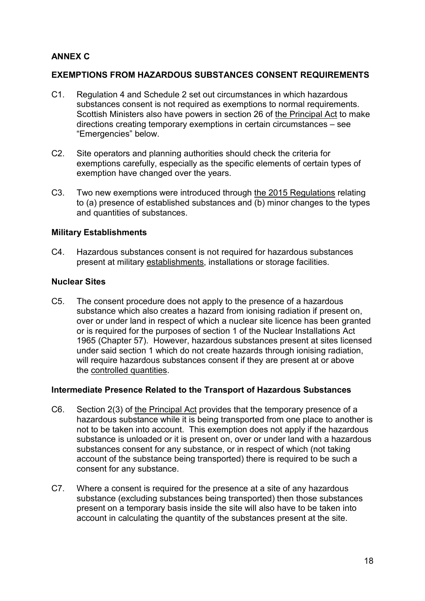# **ANNEX C**

#### **EXEMPTIONS FROM HAZARDOUS SUBSTANCES CONSENT REQUIREMENTS**

- C1. Regulation 4 and Schedule 2 set out circumstances in which hazardous substances consent is not required as exemptions to normal requirements. Scottish Ministers also have powers in section 26 of the Principal Act to make directions creating temporary exemptions in certain circumstances – see "Emergencies" below.
- C2. Site operators and planning authorities should check the criteria for exemptions carefully, especially as the specific elements of certain types of exemption have changed over the years.
- C3. Two new exemptions were introduced through the 2015 Regulations relating to (a) presence of established substances and (b) minor changes to the types and quantities of substances.

#### **Military Establishments**

C4. Hazardous substances consent is not required for hazardous substances present at military establishments, installations or storage facilities.

#### **Nuclear Sites**

C5. The consent procedure does not apply to the presence of a hazardous substance which also creates a hazard from ionising radiation if present on, over or under land in respect of which a nuclear site licence has been granted or is required for the purposes of section 1 of the Nuclear Installations Act 1965 (Chapter 57). However, hazardous substances present at sites licensed under said section 1 which do not create hazards through ionising radiation, will require hazardous substances consent if they are present at or above the controlled quantities.

#### **Intermediate Presence Related to the Transport of Hazardous Substances**

- C6. Section 2(3) of the Principal Act provides that the temporary presence of a hazardous substance while it is being transported from one place to another is not to be taken into account. This exemption does not apply if the hazardous substance is unloaded or it is present on, over or under land with a hazardous substances consent for any substance, or in respect of which (not taking account of the substance being transported) there is required to be such a consent for any substance.
- C7. Where a consent is required for the presence at a site of any hazardous substance (excluding substances being transported) then those substances present on a temporary basis inside the site will also have to be taken into account in calculating the quantity of the substances present at the site.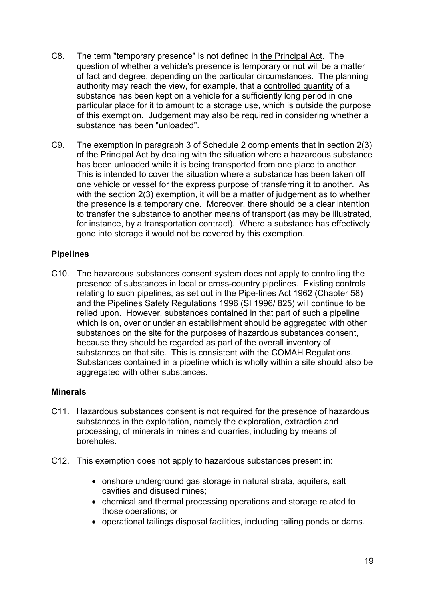- C8. The term "temporary presence" is not defined in the Principal Act. The question of whether a vehicle's presence is temporary or not will be a matter of fact and degree, depending on the particular circumstances. The planning authority may reach the view, for example, that a controlled quantity of a substance has been kept on a vehicle for a sufficiently long period in one particular place for it to amount to a storage use, which is outside the purpose of this exemption. Judgement may also be required in considering whether a substance has been "unloaded".
- C9. The exemption in paragraph 3 of Schedule 2 complements that in section 2(3) of the Principal Act by dealing with the situation where a hazardous substance has been unloaded while it is being transported from one place to another. This is intended to cover the situation where a substance has been taken off one vehicle or vessel for the express purpose of transferring it to another. As with the section 2(3) exemption, it will be a matter of judgement as to whether the presence is a temporary one. Moreover, there should be a clear intention to transfer the substance to another means of transport (as may be illustrated, for instance, by a transportation contract). Where a substance has effectively gone into storage it would not be covered by this exemption.

#### **Pipelines**

C10. The hazardous substances consent system does not apply to controlling the presence of substances in local or cross-country pipelines. Existing controls relating to such pipelines, as set out in the Pipe-lines Act 1962 (Chapter 58) and the Pipelines Safety Regulations 1996 (SI 1996/ 825) will continue to be relied upon. However, substances contained in that part of such a pipeline which is on, over or under an establishment should be aggregated with other substances on the site for the purposes of hazardous substances consent, because they should be regarded as part of the overall inventory of substances on that site. This is consistent with the COMAH Regulations. Substances contained in a pipeline which is wholly within a site should also be aggregated with other substances.

#### **Minerals**

- C11. Hazardous substances consent is not required for the presence of hazardous substances in the exploitation, namely the exploration, extraction and processing, of minerals in mines and quarries, including by means of boreholes.
- C12. This exemption does not apply to hazardous substances present in:
	- onshore underground gas storage in natural strata, aquifers, salt cavities and disused mines;
	- chemical and thermal processing operations and storage related to those operations; or
	- operational tailings disposal facilities, including tailing ponds or dams.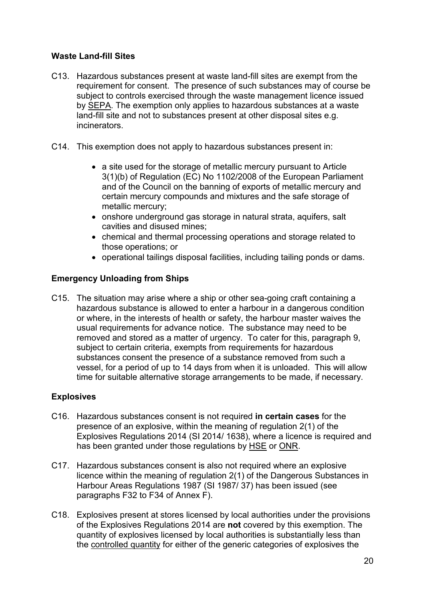# **Waste Land-fill Sites**

- C13. Hazardous substances present at waste land-fill sites are exempt from the requirement for consent. The presence of such substances may of course be subject to controls exercised through the waste management licence issued by SEPA. The exemption only applies to hazardous substances at a waste land-fill site and not to substances present at other disposal sites e.g. incinerators.
- C14. This exemption does not apply to hazardous substances present in:
	- a site used for the storage of metallic mercury pursuant to Article 3(1)(b) of Regulation (EC) No 1102/2008 of the European Parliament and of the Council on the banning of exports of metallic mercury and certain mercury compounds and mixtures and the safe storage of metallic mercury;
	- onshore underground gas storage in natural strata, aquifers, salt cavities and disused mines;
	- chemical and thermal processing operations and storage related to those operations; or
	- operational tailings disposal facilities, including tailing ponds or dams.

# **Emergency Unloading from Ships**

C15. The situation may arise where a ship or other sea-going craft containing a hazardous substance is allowed to enter a harbour in a dangerous condition or where, in the interests of health or safety, the harbour master waives the usual requirements for advance notice. The substance may need to be removed and stored as a matter of urgency. To cater for this, paragraph 9, subject to certain criteria, exempts from requirements for hazardous substances consent the presence of a substance removed from such a vessel, for a period of up to 14 days from when it is unloaded. This will allow time for suitable alternative storage arrangements to be made, if necessary.

# **Explosives**

- C16. Hazardous substances consent is not required **in certain cases** for the presence of an explosive, within the meaning of regulation 2(1) of the Explosives Regulations 2014 (SI 2014/ 1638), where a licence is required and has been granted under those regulations by HSE or ONR.
- C17. Hazardous substances consent is also not required where an explosive licence within the meaning of regulation 2(1) of the Dangerous Substances in Harbour Areas Regulations 1987 (SI 1987/ 37) has been issued (see paragraphs F32 to F34 of Annex F).
- C18. Explosives present at stores licensed by local authorities under the provisions of the Explosives Regulations 2014 are **not** covered by this exemption. The quantity of explosives licensed by local authorities is substantially less than the controlled quantity for either of the generic categories of explosives the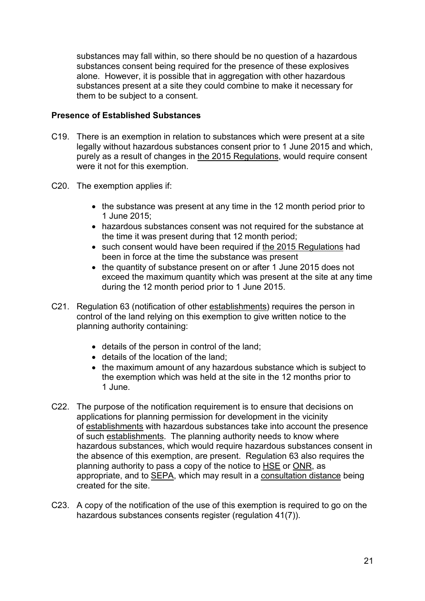substances may fall within, so there should be no question of a hazardous substances consent being required for the presence of these explosives alone. However, it is possible that in aggregation with other hazardous substances present at a site they could combine to make it necessary for them to be subject to a consent.

## **Presence of Established Substances**

- C19. There is an exemption in relation to substances which were present at a site legally without hazardous substances consent prior to 1 June 2015 and which, purely as a result of changes in the 2015 Regulations, would require consent were it not for this exemption.
- C20. The exemption applies if:
	- the substance was present at any time in the 12 month period prior to 1 June 2015;
	- hazardous substances consent was not required for the substance at the time it was present during that 12 month period;
	- such consent would have been required if the 2015 Regulations had been in force at the time the substance was present
	- the quantity of substance present on or after 1 June 2015 does not exceed the maximum quantity which was present at the site at any time during the 12 month period prior to 1 June 2015.
- C21. Regulation 63 (notification of other establishments) requires the person in control of the land relying on this exemption to give written notice to the planning authority containing:
	- details of the person in control of the land;
	- details of the location of the land;
	- the maximum amount of any hazardous substance which is subject to the exemption which was held at the site in the 12 months prior to 1 June.
- C22. The purpose of the notification requirement is to ensure that decisions on applications for planning permission for development in the vicinity of establishments with hazardous substances take into account the presence of such establishments. The planning authority needs to know where hazardous substances, which would require hazardous substances consent in the absence of this exemption, are present. Regulation 63 also requires the planning authority to pass a copy of the notice to HSE or ONR, as appropriate, and to SEPA, which may result in a consultation distance being created for the site.
- C23. A copy of the notification of the use of this exemption is required to go on the hazardous substances consents register (regulation 41(7)).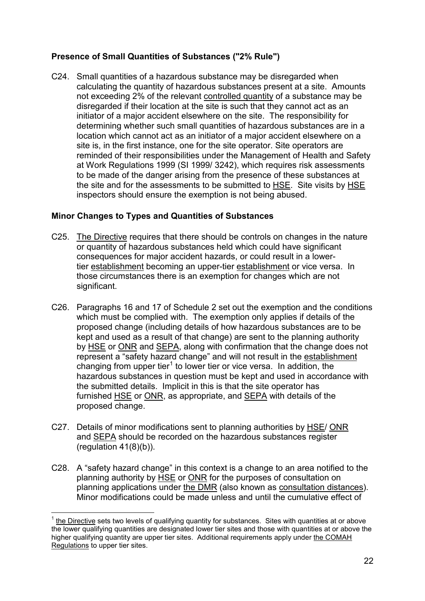# **Presence of Small Quantities of Substances ("2% Rule")**

C24. Small quantities of a hazardous substance may be disregarded when calculating the quantity of hazardous substances present at a site. Amounts not exceeding 2% of the relevant controlled quantity of a substance may be disregarded if their location at the site is such that they cannot act as an initiator of a major accident elsewhere on the site. The responsibility for determining whether such small quantities of hazardous substances are in a location which cannot act as an initiator of a major accident elsewhere on a site is, in the first instance, one for the site operator. Site operators are reminded of their responsibilities under the Management of Health and Safety at Work Regulations 1999 (SI 1999/ 3242), which requires risk assessments to be made of the danger arising from the presence of these substances at the site and for the assessments to be submitted to HSE. Site visits by HSE inspectors should ensure the exemption is not being abused.

# **Minor Changes to Types and Quantities of Substances**

- C25. The Directive requires that there should be controls on changes in the nature or quantity of hazardous substances held which could have significant consequences for major accident hazards, or could result in a lowertier establishment becoming an upper-tier establishment or vice versa. In those circumstances there is an exemption for changes which are not significant.
- C26. Paragraphs 16 and 17 of Schedule 2 set out the exemption and the conditions which must be complied with. The exemption only applies if details of the proposed change (including details of how hazardous substances are to be kept and used as a result of that change) are sent to the planning authority by HSE or ONR and SEPA, along with confirmation that the change does not represent a "safety hazard change" and will not result in the establishment changing from upper tier<sup>[1](#page-17-0)</sup> to lower tier or vice versa. In addition, the hazardous substances in question must be kept and used in accordance with the submitted details. Implicit in this is that the site operator has furnished HSE or ONR, as appropriate, and SEPA with details of the proposed change.
- C27. Details of minor modifications sent to planning authorities by HSE/ ONR and SEPA should be recorded on the hazardous substances register  $(regularian 41(8)(b)).$
- C28. A "safety hazard change" in this context is a change to an area notified to the planning authority by HSE or ONR for the purposes of consultation on planning applications under the DMR (also known as consultation distances). Minor modifications could be made unless and until the cumulative effect of

<span id="page-24-0"></span> <sup>1</sup> the Directive sets two levels of qualifying quantity for substances. Sites with quantities at or above the lower qualifying quantities are designated lower tier sites and those with quantities at or above the higher qualifying quantity are upper tier sites. Additional requirements apply under the COMAH Regulations to upper tier sites.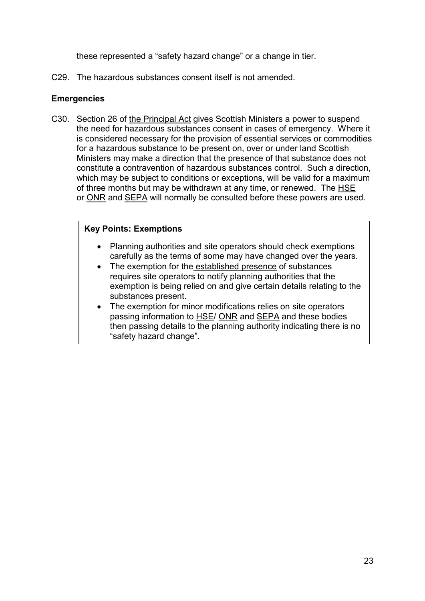these represented a "safety hazard change" or a change in tier.

C29. The hazardous substances consent itself is not amended.

## **Emergencies**

C30. Section 26 of the Principal Act gives Scottish Ministers a power to suspend the need for hazardous substances consent in cases of emergency. Where it is considered necessary for the provision of essential services or commodities for a hazardous substance to be present on, over or under land Scottish Ministers may make a direction that the presence of that substance does not constitute a contravention of hazardous substances control. Such a direction, which may be subject to conditions or exceptions, will be valid for a maximum of three months but may be withdrawn at any time, or renewed. The HSE or ONR and SEPA will normally be consulted before these powers are used.

#### **Key Points: Exemptions**

- Planning authorities and site operators should check exemptions carefully as the terms of some may have changed over the years.
- The exemption for the established presence of substances requires site operators to notify planning authorities that the exemption is being relied on and give certain details relating to the substances present.
- The exemption for minor modifications relies on site operators passing information to HSE/ ONR and SEPA and these bodies then passing details to the planning authority indicating there is no "safety hazard change".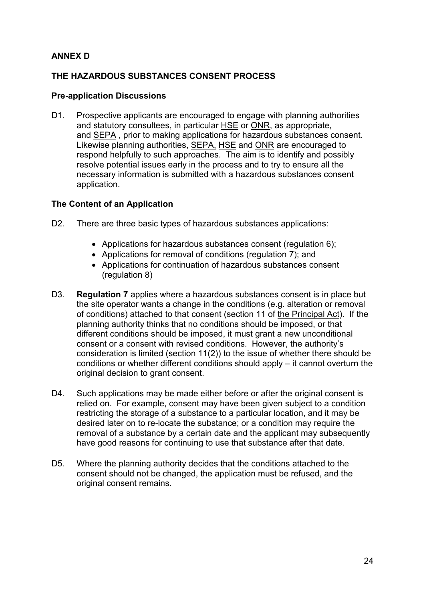# **ANNEX D**

## **THE HAZARDOUS SUBSTANCES CONSENT PROCESS**

#### **Pre-application Discussions**

D1. Prospective applicants are encouraged to engage with planning authorities and statutory consultees, in particular HSE or ONR, as appropriate, and SEPA , prior to making applications for hazardous substances consent. Likewise planning authorities, SEPA, HSE and ONR are encouraged to respond helpfully to such approaches. The aim is to identify and possibly resolve potential issues early in the process and to try to ensure all the necessary information is submitted with a hazardous substances consent application.

#### **The Content of an Application**

- D2. There are three basic types of hazardous substances applications:
	- Applications for hazardous substances consent (regulation 6);
	- Applications for removal of conditions (regulation 7); and
	- Applications for continuation of hazardous substances consent (regulation 8)
- D3. **Regulation 7** applies where a hazardous substances consent is in place but the site operator wants a change in the conditions (e.g. alteration or removal of conditions) attached to that consent (section 11 of the Principal Act). If the planning authority thinks that no conditions should be imposed, or that different conditions should be imposed, it must grant a new unconditional consent or a consent with revised conditions. However, the authority's consideration is limited (section 11(2)) to the issue of whether there should be conditions or whether different conditions should apply – it cannot overturn the original decision to grant consent.
- D4. Such applications may be made either before or after the original consent is relied on. For example, consent may have been given subject to a condition restricting the storage of a substance to a particular location, and it may be desired later on to re-locate the substance; or a condition may require the removal of a substance by a certain date and the applicant may subsequently have good reasons for continuing to use that substance after that date.
- D5. Where the planning authority decides that the conditions attached to the consent should not be changed, the application must be refused, and the original consent remains.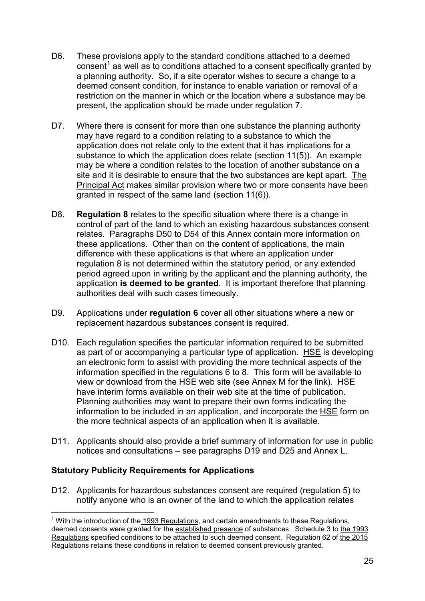- D6. These provisions apply to the standard conditions attached to a deemed consent<sup>[1](#page-24-0)</sup> as well as to conditions attached to a consent specifically granted by a planning authority. So, if a site operator wishes to secure a change to a deemed consent condition, for instance to enable variation or removal of a restriction on the manner in which or the location where a substance may be present, the application should be made under regulation 7.
- D7. Where there is consent for more than one substance the planning authority may have regard to a condition relating to a substance to which the application does not relate only to the extent that it has implications for a substance to which the application does relate (section 11(5)). An example may be where a condition relates to the location of another substance on a site and it is desirable to ensure that the two substances are kept apart. The Principal Act makes similar provision where two or more consents have been granted in respect of the same land (section 11(6)).
- D8. **Regulation 8** relates to the specific situation where there is a change in control of part of the land to which an existing hazardous substances consent relates. Paragraphs D50 to D54 of this Annex contain more information on these applications. Other than on the content of applications, the main difference with these applications is that where an application under regulation 8 is not determined within the statutory period, or any extended period agreed upon in writing by the applicant and the planning authority, the application **is deemed to be granted**. It is important therefore that planning authorities deal with such cases timeously.
- D9. Applications under **regulation 6** cover all other situations where a new or replacement hazardous substances consent is required.
- D10. Each regulation specifies the particular information required to be submitted as part of or accompanying a particular type of application. HSE is developing an electronic form to assist with providing the more technical aspects of the information specified in the regulations 6 to 8. This form will be available to view or download from the HSE web site (see Annex M for the link).HSE have interim forms available on their web site at the time of publication. Planning authorities may want to prepare their own forms indicating the information to be included in an application, and incorporate the HSE form on the more technical aspects of an application when it is available.
- D11. Applicants should also provide a brief summary of information for use in public notices and consultations – see paragraphs D19 and D25 and Annex L.

# **Statutory Publicity Requirements for Applications**

D12. Applicants for hazardous substances consent are required (regulation 5) to notify anyone who is an owner of the land to which the application relates

<span id="page-27-0"></span> $1$  With the introduction of the 1993 Regulations, and certain amendments to these Regulations, deemed consents were granted for the established presence of substances. Schedule 3 to the 1993 Regulations specified conditions to be attached to such deemed consent. Regulation 62 of the 2015 Regulations retains these conditions in relation to deemed consent previously granted.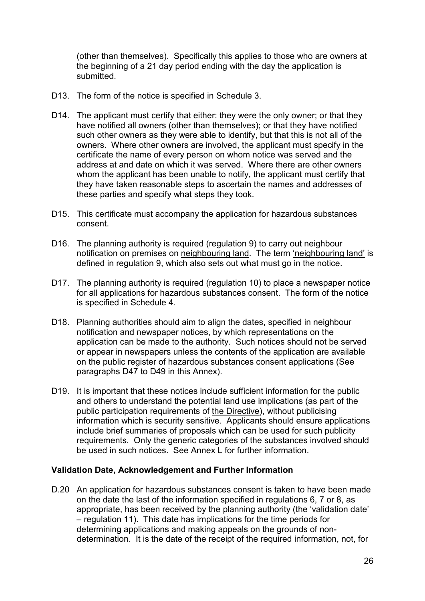(other than themselves). Specifically this applies to those who are owners at the beginning of a 21 day period ending with the day the application is submitted.

- D13. The form of the notice is specified in Schedule 3.
- D14. The applicant must certify that either: they were the only owner; or that they have notified all owners (other than themselves); or that they have notified such other owners as they were able to identify, but that this is not all of the owners. Where other owners are involved, the applicant must specify in the certificate the name of every person on whom notice was served and the address at and date on which it was served. Where there are other owners whom the applicant has been unable to notify, the applicant must certify that they have taken reasonable steps to ascertain the names and addresses of these parties and specify what steps they took.
- D15. This certificate must accompany the application for hazardous substances consent.
- D16. The planning authority is required (regulation 9) to carry out neighbour notification on premises on neighbouring land. The term 'neighbouring land' is defined in regulation 9, which also sets out what must go in the notice.
- D17. The planning authority is required (regulation 10) to place a newspaper notice for all applications for hazardous substances consent. The form of the notice is specified in Schedule 4.
- D18. Planning authorities should aim to align the dates, specified in neighbour notification and newspaper notices, by which representations on the application can be made to the authority. Such notices should not be served or appear in newspapers unless the contents of the application are available on the public register of hazardous substances consent applications (See paragraphs D47 to D49 in this Annex).
- D19. It is important that these notices include sufficient information for the public and others to understand the potential land use implications (as part of the public participation requirements of the Directive), without publicising information which is security sensitive. Applicants should ensure applications include brief summaries of proposals which can be used for such publicity requirements. Only the generic categories of the substances involved should be used in such notices. See Annex L for further information.

#### **Validation Date, Acknowledgement and Further Information**

D.20 An application for hazardous substances consent is taken to have been made on the date the last of the information specified in regulations 6, 7 or 8, as appropriate, has been received by the planning authority (the 'validation date' – regulation 11). This date has implications for the time periods for determining applications and making appeals on the grounds of nondetermination. It is the date of the receipt of the required information, not, for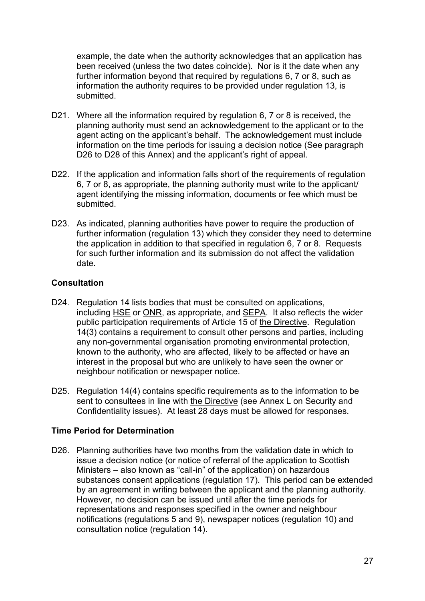example, the date when the authority acknowledges that an application has been received (unless the two dates coincide). Nor is it the date when any further information beyond that required by regulations 6, 7 or 8, such as information the authority requires to be provided under regulation 13, is submitted.

- D21. Where all the information required by regulation 6, 7 or 8 is received, the planning authority must send an acknowledgement to the applicant or to the agent acting on the applicant's behalf. The acknowledgement must include information on the time periods for issuing a decision notice (See paragraph D26 to D28 of this Annex) and the applicant's right of appeal.
- D22. If the application and information falls short of the requirements of regulation 6, 7 or 8, as appropriate, the planning authority must write to the applicant/ agent identifying the missing information, documents or fee which must be submitted.
- D23. As indicated, planning authorities have power to require the production of further information (regulation 13) which they consider they need to determine the application in addition to that specified in regulation 6, 7 or 8. Requests for such further information and its submission do not affect the validation date.

# **Consultation**

- D24. Regulation 14 lists bodies that must be consulted on applications, including HSE or ONR, as appropriate, and SEPA. It also reflects the wider public participation requirements of Article 15 of the Directive. Regulation 14(3) contains a requirement to consult other persons and parties, including any non-governmental organisation promoting environmental protection, known to the authority, who are affected, likely to be affected or have an interest in the proposal but who are unlikely to have seen the owner or neighbour notification or newspaper notice.
- D25. Regulation 14(4) contains specific requirements as to the information to be sent to consultees in line with the Directive (see Annex L on Security and Confidentiality issues). At least 28 days must be allowed for responses.

# **Time Period for Determination**

D26. Planning authorities have two months from the validation date in which to issue a decision notice (or notice of referral of the application to Scottish Ministers – also known as "call-in" of the application) on hazardous substances consent applications (regulation 17). This period can be extended by an agreement in writing between the applicant and the planning authority. However, no decision can be issued until after the time periods for representations and responses specified in the owner and neighbour notifications (regulations 5 and 9), newspaper notices (regulation 10) and consultation notice (regulation 14).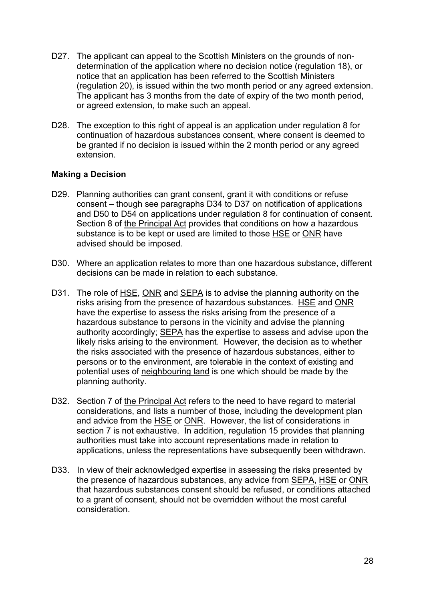- D27. The applicant can appeal to the Scottish Ministers on the grounds of nondetermination of the application where no decision notice (regulation 18), or notice that an application has been referred to the Scottish Ministers (regulation 20), is issued within the two month period or any agreed extension. The applicant has 3 months from the date of expiry of the two month period, or agreed extension, to make such an appeal.
- D28. The exception to this right of appeal is an application under regulation 8 for continuation of hazardous substances consent, where consent is deemed to be granted if no decision is issued within the 2 month period or any agreed extension.

#### **Making a Decision**

- D29. Planning authorities can grant consent, grant it with conditions or refuse consent – though see paragraphs D34 to D37 on notification of applications and D50 to D54 on applications under regulation 8 for continuation of consent. Section 8 of the Principal Act provides that conditions on how a hazardous substance is to be kept or used are limited to those HSE or ONR have advised should be imposed.
- D30. Where an application relates to more than one hazardous substance, different decisions can be made in relation to each substance.
- D31. The role of HSE, ONR and SEPA is to advise the planning authority on the risks arising from the presence of hazardous substances. HSE and ONR have the expertise to assess the risks arising from the presence of a hazardous substance to persons in the vicinity and advise the planning authority accordingly; SEPA has the expertise to assess and advise upon the likely risks arising to the environment. However, the decision as to whether the risks associated with the presence of hazardous substances, either to persons or to the environment, are tolerable in the context of existing and potential uses of neighbouring land is one which should be made by the planning authority.
- D32. Section 7 of the Principal Act refers to the need to have regard to material considerations, and lists a number of those, including the development plan and advice from the HSE or ONR. However, the list of considerations in section 7 is not exhaustive. In addition, regulation 15 provides that planning authorities must take into account representations made in relation to applications, unless the representations have subsequently been withdrawn.
- D33. In view of their acknowledged expertise in assessing the risks presented by the presence of hazardous substances, any advice from SEPA, HSE or ONR that hazardous substances consent should be refused, or conditions attached to a grant of consent, should not be overridden without the most careful consideration.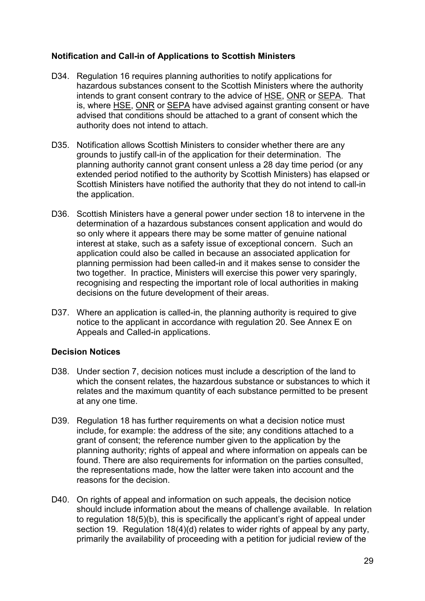## **Notification and Call-in of Applications to Scottish Ministers**

- D34. Regulation 16 requires planning authorities to notify applications for hazardous substances consent to the Scottish Ministers where the authority intends to grant consent contrary to the advice of HSE, ONR or SEPA. That is, where HSE, ONR or SEPA have advised against granting consent or have advised that conditions should be attached to a grant of consent which the authority does not intend to attach.
- D35. Notification allows Scottish Ministers to consider whether there are any grounds to justify call-in of the application for their determination. The planning authority cannot grant consent unless a 28 day time period (or any extended period notified to the authority by Scottish Ministers) has elapsed or Scottish Ministers have notified the authority that they do not intend to call-in the application.
- D36. Scottish Ministers have a general power under section 18 to intervene in the determination of a hazardous substances consent application and would do so only where it appears there may be some matter of genuine national interest at stake, such as a safety issue of exceptional concern. Such an application could also be called in because an associated application for planning permission had been called-in and it makes sense to consider the two together. In practice, Ministers will exercise this power very sparingly, recognising and respecting the important role of local authorities in making decisions on the future development of their areas.
- D37. Where an application is called-in, the planning authority is required to give notice to the applicant in accordance with regulation 20. See Annex E on Appeals and Called-in applications.

#### **Decision Notices**

- D38. Under section 7, decision notices must include a description of the land to which the consent relates, the hazardous substance or substances to which it relates and the maximum quantity of each substance permitted to be present at any one time.
- D39. Regulation 18 has further requirements on what a decision notice must include, for example: the address of the site; any conditions attached to a grant of consent; the reference number given to the application by the planning authority; rights of appeal and where information on appeals can be found. There are also requirements for information on the parties consulted, the representations made, how the latter were taken into account and the reasons for the decision.
- D40. On rights of appeal and information on such appeals, the decision notice should include information about the means of challenge available. In relation to regulation 18(5)(b), this is specifically the applicant's right of appeal under section 19. Regulation 18(4)(d) relates to wider rights of appeal by any party, primarily the availability of proceeding with a petition for judicial review of the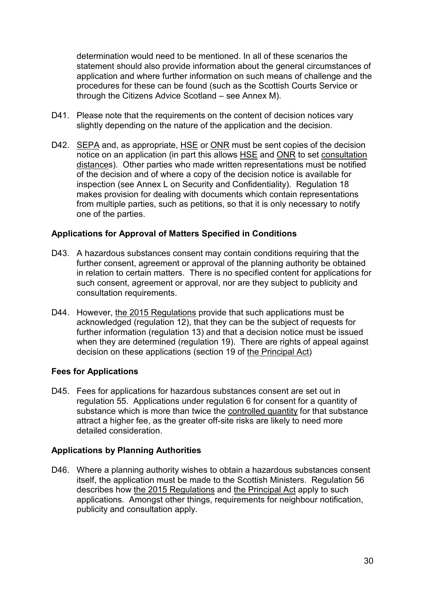determination would need to be mentioned. In all of these scenarios the statement should also provide information about the general circumstances of application and where further information on such means of challenge and the procedures for these can be found (such as the Scottish Courts Service or through the Citizens Advice Scotland – see Annex M).

- D41. Please note that the requirements on the content of decision notices vary slightly depending on the nature of the application and the decision.
- D42. SEPA and, as appropriate, HSE or ONR must be sent copies of the decision notice on an application (in part this allows HSE and ONR to set consultation distances). Other parties who made written representations must be notified of the decision and of where a copy of the decision notice is available for inspection (see Annex L on Security and Confidentiality). Regulation 18 makes provision for dealing with documents which contain representations from multiple parties, such as petitions, so that it is only necessary to notify one of the parties.

#### **Applications for Approval of Matters Specified in Conditions**

- D43. A hazardous substances consent may contain conditions requiring that the further consent, agreement or approval of the planning authority be obtained in relation to certain matters. There is no specified content for applications for such consent, agreement or approval, nor are they subject to publicity and consultation requirements.
- D44. However, the 2015 Regulations provide that such applications must be acknowledged (regulation 12), that they can be the subject of requests for further information (regulation 13) and that a decision notice must be issued when they are determined (regulation 19). There are rights of appeal against decision on these applications (section 19 of the Principal Act)

# **Fees for Applications**

D45. Fees for applications for hazardous substances consent are set out in regulation 55. Applications under regulation 6 for consent for a quantity of substance which is more than twice the controlled quantity for that substance attract a higher fee, as the greater off-site risks are likely to need more detailed consideration.

#### **Applications by Planning Authorities**

D46. Where a planning authority wishes to obtain a hazardous substances consent itself, the application must be made to the Scottish Ministers. Regulation 56 describes how the 2015 Regulations and the Principal Act apply to such applications. Amongst other things, requirements for neighbour notification, publicity and consultation apply.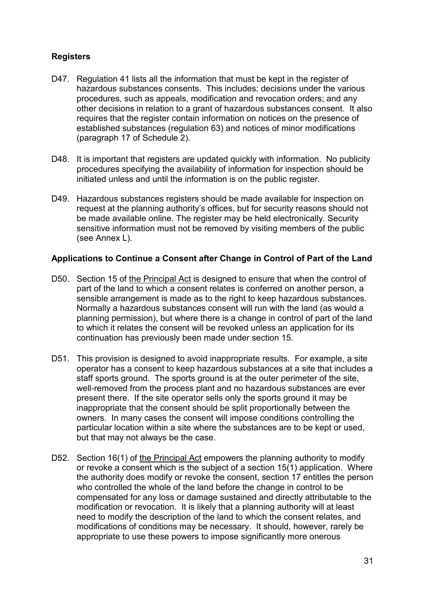# **Registers**

- D47. Regulation 41 lists all the information that must be kept in the register of hazardous substances consents. This includes: decisions under the various procedures, such as appeals, modification and revocation orders; and any other decisions in relation to a grant of hazardous substances consent. It also requires that the register contain information on notices on the presence of established substances (regulation 63) and notices of minor modifications (paragraph 17 of Schedule 2).
- D48. It is important that registers are updated quickly with information. No publicity procedures specifying the availability of information for inspection should be initiated unless and until the information is on the public register.
- D49. Hazardous substances registers should be made available for inspection on request at the planning authority's offices, but for security reasons should not be made available online. The register may be held electronically. Security sensitive information must not be removed by visiting members of the public (see Annex L).

#### **Applications to Continue a Consent after Change in Control of Part of the Land**

- D50. Section 15 of the Principal Act is designed to ensure that when the control of part of the land to which a consent relates is conferred on another person, a sensible arrangement is made as to the right to keep hazardous substances. Normally a hazardous substances consent will run with the land (as would a planning permission), but where there is a change in control of part of the land to which it relates the consent will be revoked unless an application for its continuation has previously been made under section 15.
- D51. This provision is designed to avoid inappropriate results. For example, a site operator has a consent to keep hazardous substances at a site that includes a staff sports ground. The sports ground is at the outer perimeter of the site, well-removed from the process plant and no hazardous substances are ever present there. If the site operator sells only the sports ground it may be inappropriate that the consent should be split proportionally between the owners. In many cases the consent will impose conditions controlling the particular location within a site where the substances are to be kept or used, but that may not always be the case.
- D52. Section 16(1) of the Principal Act empowers the planning authority to modify or revoke a consent which is the subject of a section 15(1) application. Where the authority does modify or revoke the consent, section 17 entitles the person who controlled the whole of the land before the change in control to be compensated for any loss or damage sustained and directly attributable to the modification or revocation. It is likely that a planning authority will at least need to modify the description of the land to which the consent relates, and modifications of conditions may be necessary. It should, however, rarely be appropriate to use these powers to impose significantly more onerous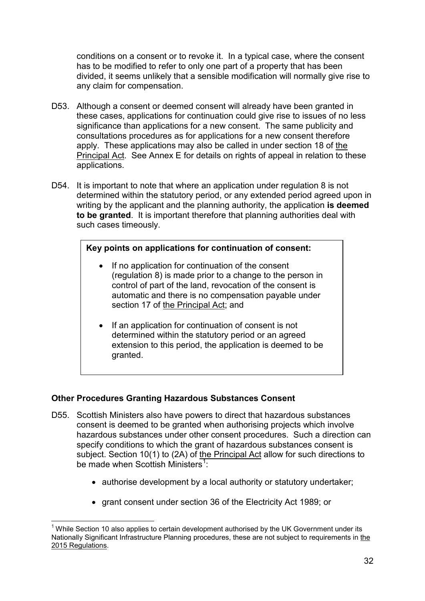conditions on a consent or to revoke it. In a typical case, where the consent has to be modified to refer to only one part of a property that has been divided, it seems unlikely that a sensible modification will normally give rise to any claim for compensation.

- D53. Although a consent or deemed consent will already have been granted in these cases, applications for continuation could give rise to issues of no less significance than applications for a new consent. The same publicity and consultations procedures as for applications for a new consent therefore apply. These applications may also be called in under section 18 of the Principal Act. See Annex E for details on rights of appeal in relation to these applications.
- D54. It is important to note that where an application under regulation 8 is not determined within the statutory period, or any extended period agreed upon in writing by the applicant and the planning authority, the application **is deemed to be granted**. It is important therefore that planning authorities deal with such cases timeously.

#### **Key points on applications for continuation of consent:**

- If no application for continuation of the consent (regulation 8) is made prior to a change to the person in control of part of the land, revocation of the consent is automatic and there is no compensation payable under section 17 of the Principal Act; and
- If an application for continuation of consent is not determined within the statutory period or an agreed extension to this period, the application is deemed to be granted.

#### **Other Procedures Granting Hazardous Substances Consent**

- D55. Scottish Ministers also have powers to direct that hazardous substances consent is deemed to be granted when authorising projects which involve hazardous substances under other consent procedures. Such a direction can specify conditions to which the grant of hazardous substances consent is subject. Section 10(1) to (2A) of the Principal Act allow for such directions to be made when Scottish Ministers<sup>[1](#page-27-0)</sup>:
	- authorise development by a local authority or statutory undertaker;
	- grant consent under section 36 of the Electricity Act 1989; or

 $<sup>1</sup>$  While Section 10 also applies to certain development authorised by the UK Government under its</sup> Nationally Significant Infrastructure Planning procedures, these are not subject to requirements in the 2015 Regulations.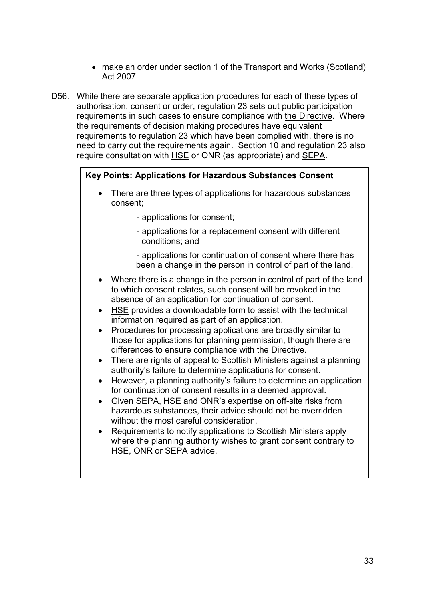- make an order under section 1 of the Transport and Works (Scotland) Act 2007
- D56. While there are separate application procedures for each of these types of authorisation, consent or order, regulation 23 sets out public participation requirements in such cases to ensure compliance with the Directive. Where the requirements of decision making procedures have equivalent requirements to regulation 23 which have been complied with, there is no need to carry out the requirements again. Section 10 and regulation 23 also require consultation with HSE or ONR (as appropriate) and SEPA.

## **Key Points: Applications for Hazardous Substances Consent**

- There are three types of applications for hazardous substances consent;
	- applications for consent;
	- applications for a replacement consent with different conditions; and
	- applications for continuation of consent where there has been a change in the person in control of part of the land.
- Where there is a change in the person in control of part of the land to which consent relates, such consent will be revoked in the absence of an application for continuation of consent.
- HSE provides a downloadable form to assist with the technical information required as part of an application.
- Procedures for processing applications are broadly similar to those for applications for planning permission, though there are differences to ensure compliance with the Directive.
- There are rights of appeal to Scottish Ministers against a planning authority's failure to determine applications for consent.
- However, a planning authority's failure to determine an application for continuation of consent results in a deemed approval.
- Given SEPA, HSE and ONR's expertise on off-site risks from hazardous substances, their advice should not be overridden without the most careful consideration.
- Requirements to notify applications to Scottish Ministers apply where the planning authority wishes to grant consent contrary to HSE, ONR or SEPA advice.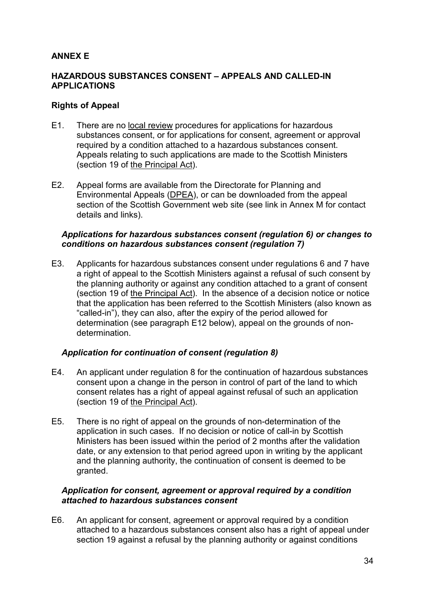# **ANNEX E**

### **HAZARDOUS SUBSTANCES CONSENT – APPEALS AND CALLED-IN APPLICATIONS**

#### **Rights of Appeal**

- E1. There are no local review procedures for applications for hazardous substances consent, or for applications for consent, agreement or approval required by a condition attached to a hazardous substances consent. Appeals relating to such applications are made to the Scottish Ministers (section 19 of the Principal Act).
- E2. Appeal forms are available from the Directorate for Planning and Environmental Appeals (DPEA), or can be downloaded from the appeal section of the Scottish Government web site (see link in Annex M for contact details and links).

#### *Applications for hazardous substances consent (regulation 6) or changes to conditions on hazardous substances consent (regulation 7)*

E3. Applicants for hazardous substances consent under regulations 6 and 7 have a right of appeal to the Scottish Ministers against a refusal of such consent by the planning authority or against any condition attached to a grant of consent (section 19 of the Principal Act). In the absence of a decision notice or notice that the application has been referred to the Scottish Ministers (also known as "called-in"), they can also, after the expiry of the period allowed for determination (see paragraph E12 below), appeal on the grounds of nondetermination.

#### *Application for continuation of consent (regulation 8)*

- E4. An applicant under regulation 8 for the continuation of hazardous substances consent upon a change in the person in control of part of the land to which consent relates has a right of appeal against refusal of such an application (section 19 of the Principal Act).
- E5. There is no right of appeal on the grounds of non-determination of the application in such cases. If no decision or notice of call-in by Scottish Ministers has been issued within the period of 2 months after the validation date, or any extension to that period agreed upon in writing by the applicant and the planning authority, the continuation of consent is deemed to be granted.

#### *Application for consent, agreement or approval required by a condition attached to hazardous substances consent*

E6. An applicant for consent, agreement or approval required by a condition attached to a hazardous substances consent also has a right of appeal under section 19 against a refusal by the planning authority or against conditions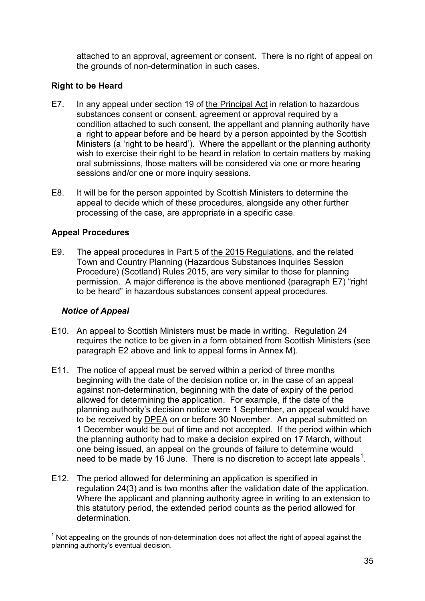attached to an approval, agreement or consent. There is no right of appeal on the grounds of non-determination in such cases.

# **Right to be Heard**

- E7. In any appeal under section 19 of the Principal Act in relation to hazardous substances consent or consent, agreement or approval required by a condition attached to such consent, the appellant and planning authority have a right to appear before and be heard by a person appointed by the Scottish Ministers (a 'right to be heard'). Where the appellant or the planning authority wish to exercise their right to be heard in relation to certain matters by making oral submissions, those matters will be considered via one or more hearing sessions and/or one or more inquiry sessions.
- E8. It will be for the person appointed by Scottish Ministers to determine the appeal to decide which of these procedures, alongside any other further processing of the case, are appropriate in a specific case.

# **Appeal Procedures**

E9. The appeal procedures in Part 5 of the 2015 Regulations, and the related Town and Country Planning (Hazardous Substances Inquiries Session Procedure) (Scotland) Rules 2015, are very similar to those for planning permission. A major difference is the above mentioned (paragraph E7) "right to be heard" in hazardous substances consent appeal procedures.

# *Notice of Appeal*

- E10. An appeal to Scottish Ministers must be made in writing. Regulation 24 requires the notice to be given in a form obtained from Scottish Ministers (see paragraph E2 above and link to appeal forms in Annex M).
- E11. The notice of appeal must be served within a period of three months beginning with the date of the decision notice or, in the case of an appeal against non-determination, beginning with the date of expiry of the period allowed for determining the application. For example, if the date of the planning authority's decision notice were 1 September, an appeal would have to be received by DPEA on or before 30 November. An appeal submitted on 1 December would be out of time and not accepted. If the period within which the planning authority had to make a decision expired on 17 March, without one being issued, an appeal on the grounds of failure to determine would need to be made by [1](#page-34-0)6 June. There is no discretion to accept late appeals<sup>1</sup>.
- E12. The period allowed for determining an application is specified in regulation 24(3) and is two months after the validation date of the application. Where the applicant and planning authority agree in writing to an extension to this statutory period, the extended period counts as the period allowed for determination.

<span id="page-37-0"></span>Not appealing on the grounds of non-determination does not affect the right of appeal against the planning authority's eventual decision.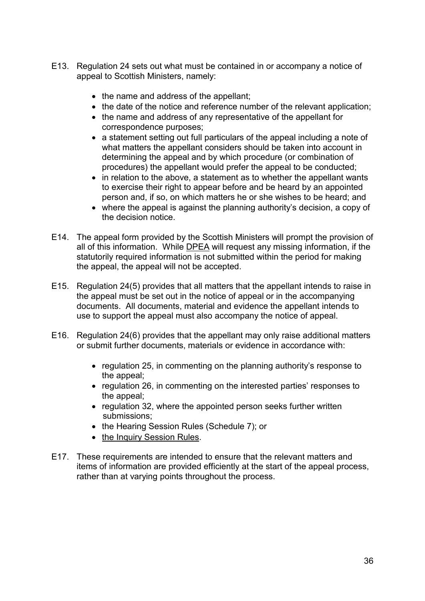- E13. Regulation 24 sets out what must be contained in or accompany a notice of appeal to Scottish Ministers, namely:
	- the name and address of the appellant;
	- the date of the notice and reference number of the relevant application;
	- the name and address of any representative of the appellant for correspondence purposes;
	- a statement setting out full particulars of the appeal including a note of what matters the appellant considers should be taken into account in determining the appeal and by which procedure (or combination of procedures) the appellant would prefer the appeal to be conducted;
	- in relation to the above, a statement as to whether the appellant wants to exercise their right to appear before and be heard by an appointed person and, if so, on which matters he or she wishes to be heard; and
	- where the appeal is against the planning authority's decision, a copy of the decision notice.
- E14. The appeal form provided by the Scottish Ministers will prompt the provision of all of this information. While DPEA will request any missing information, if the statutorily required information is not submitted within the period for making the appeal, the appeal will not be accepted.
- E15. Regulation 24(5) provides that all matters that the appellant intends to raise in the appeal must be set out in the notice of appeal or in the accompanying documents. All documents, material and evidence the appellant intends to use to support the appeal must also accompany the notice of appeal.
- E16. Regulation 24(6) provides that the appellant may only raise additional matters or submit further documents, materials or evidence in accordance with:
	- regulation 25, in commenting on the planning authority's response to the appeal;
	- regulation 26, in commenting on the interested parties' responses to the appeal;
	- regulation 32, where the appointed person seeks further written submissions;
	- the Hearing Session Rules (Schedule 7); or
	- the Inquiry Session Rules.
- E17. These requirements are intended to ensure that the relevant matters and items of information are provided efficiently at the start of the appeal process, rather than at varying points throughout the process.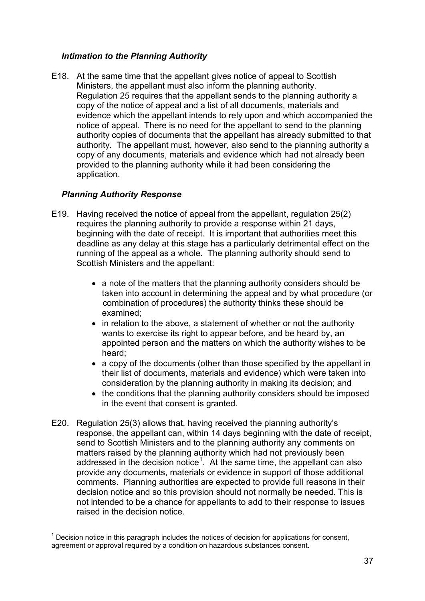# *Intimation to the Planning Authority*

E18. At the same time that the appellant gives notice of appeal to Scottish Ministers, the appellant must also inform the planning authority. Regulation 25 requires that the appellant sends to the planning authority a copy of the notice of appeal and a list of all documents, materials and evidence which the appellant intends to rely upon and which accompanied the notice of appeal. There is no need for the appellant to send to the planning authority copies of documents that the appellant has already submitted to that authority. The appellant must, however, also send to the planning authority a copy of any documents, materials and evidence which had not already been provided to the planning authority while it had been considering the application.

### *Planning Authority Response*

- E19. Having received the notice of appeal from the appellant, regulation 25(2) requires the planning authority to provide a response within 21 days, beginning with the date of receipt. It is important that authorities meet this deadline as any delay at this stage has a particularly detrimental effect on the running of the appeal as a whole. The planning authority should send to Scottish Ministers and the appellant:
	- a note of the matters that the planning authority considers should be taken into account in determining the appeal and by what procedure (or combination of procedures) the authority thinks these should be examined;
	- in relation to the above, a statement of whether or not the authority wants to exercise its right to appear before, and be heard by, an appointed person and the matters on which the authority wishes to be heard;
	- a copy of the documents (other than those specified by the appellant in their list of documents, materials and evidence) which were taken into consideration by the planning authority in making its decision; and
	- the conditions that the planning authority considers should be imposed in the event that consent is granted.
- E20. Regulation 25(3) allows that, having received the planning authority's response, the appellant can, within 14 days beginning with the date of receipt, send to Scottish Ministers and to the planning authority any comments on matters raised by the planning authority which had not previously been addressed in the decision notice<sup>[1](#page-37-0)</sup>. At the same time, the appellant can also provide any documents, materials or evidence in support of those additional comments. Planning authorities are expected to provide full reasons in their decision notice and so this provision should not normally be needed. This is not intended to be a chance for appellants to add to their response to issues raised in the decision notice.

<span id="page-39-0"></span>Decision notice in this paragraph includes the notices of decision for applications for consent, agreement or approval required by a condition on hazardous substances consent.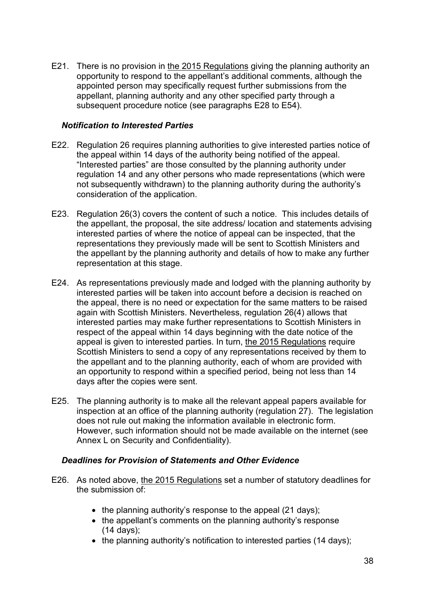E21. There is no provision in the 2015 Regulations giving the planning authority an opportunity to respond to the appellant's additional comments, although the appointed person may specifically request further submissions from the appellant, planning authority and any other specified party through a subsequent procedure notice (see paragraphs E28 to E54).

#### *Notification to Interested Parties*

- E22. Regulation 26 requires planning authorities to give interested parties notice of the appeal within 14 days of the authority being notified of the appeal. "Interested parties" are those consulted by the planning authority under regulation 14 and any other persons who made representations (which were not subsequently withdrawn) to the planning authority during the authority's consideration of the application.
- E23. Regulation 26(3) covers the content of such a notice. This includes details of the appellant, the proposal, the site address/ location and statements advising interested parties of where the notice of appeal can be inspected, that the representations they previously made will be sent to Scottish Ministers and the appellant by the planning authority and details of how to make any further representation at this stage.
- E24. As representations previously made and lodged with the planning authority by interested parties will be taken into account before a decision is reached on the appeal, there is no need or expectation for the same matters to be raised again with Scottish Ministers. Nevertheless, regulation 26(4) allows that interested parties may make further representations to Scottish Ministers in respect of the appeal within 14 days beginning with the date notice of the appeal is given to interested parties. In turn, the 2015 Regulations require Scottish Ministers to send a copy of any representations received by them to the appellant and to the planning authority, each of whom are provided with an opportunity to respond within a specified period, being not less than 14 days after the copies were sent.
- E25. The planning authority is to make all the relevant appeal papers available for inspection at an office of the planning authority (regulation 27). The legislation does not rule out making the information available in electronic form. However, such information should not be made available on the internet (see Annex L on Security and Confidentiality).

# *Deadlines for Provision of Statements and Other Evidence*

- E26. As noted above, the 2015 Regulations set a number of statutory deadlines for the submission of:
	- the planning authority's response to the appeal (21 days);
	- the appellant's comments on the planning authority's response (14 days);
	- the planning authority's notification to interested parties (14 days);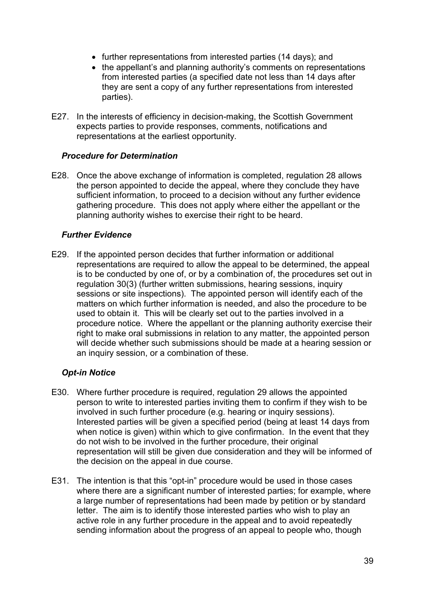- further representations from interested parties (14 days); and
- the appellant's and planning authority's comments on representations from interested parties (a specified date not less than 14 days after they are sent a copy of any further representations from interested parties).
- E27. In the interests of efficiency in decision-making, the Scottish Government expects parties to provide responses, comments, notifications and representations at the earliest opportunity.

#### *Procedure for Determination*

E28. Once the above exchange of information is completed, regulation 28 allows the person appointed to decide the appeal, where they conclude they have sufficient information, to proceed to a decision without any further evidence gathering procedure. This does not apply where either the appellant or the planning authority wishes to exercise their right to be heard.

### *Further Evidence*

E29. If the appointed person decides that further information or additional representations are required to allow the appeal to be determined, the appeal is to be conducted by one of, or by a combination of, the procedures set out in regulation 30(3) (further written submissions, hearing sessions, inquiry sessions or site inspections). The appointed person will identify each of the matters on which further information is needed, and also the procedure to be used to obtain it. This will be clearly set out to the parties involved in a procedure notice. Where the appellant or the planning authority exercise their right to make oral submissions in relation to any matter, the appointed person will decide whether such submissions should be made at a hearing session or an inquiry session, or a combination of these.

#### *Opt-in Notice*

- E30. Where further procedure is required, regulation 29 allows the appointed person to write to interested parties inviting them to confirm if they wish to be involved in such further procedure (e.g. hearing or inquiry sessions). Interested parties will be given a specified period (being at least 14 days from when notice is given) within which to give confirmation. In the event that they do not wish to be involved in the further procedure, their original representation will still be given due consideration and they will be informed of the decision on the appeal in due course.
- E31. The intention is that this "opt-in" procedure would be used in those cases where there are a significant number of interested parties; for example, where a large number of representations had been made by petition or by standard letter. The aim is to identify those interested parties who wish to play an active role in any further procedure in the appeal and to avoid repeatedly sending information about the progress of an appeal to people who, though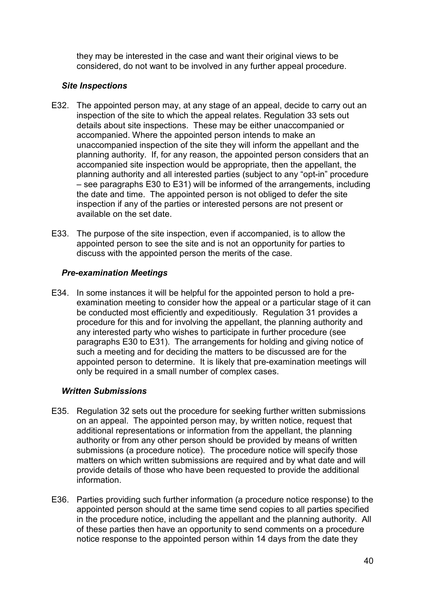they may be interested in the case and want their original views to be considered, do not want to be involved in any further appeal procedure.

# *Site Inspections*

- E32. The appointed person may, at any stage of an appeal, decide to carry out an inspection of the site to which the appeal relates. Regulation 33 sets out details about site inspections. These may be either unaccompanied or accompanied. Where the appointed person intends to make an unaccompanied inspection of the site they will inform the appellant and the planning authority. If, for any reason, the appointed person considers that an accompanied site inspection would be appropriate, then the appellant, the planning authority and all interested parties (subject to any "opt-in" procedure – see paragraphs E30 to E31) will be informed of the arrangements, including the date and time. The appointed person is not obliged to defer the site inspection if any of the parties or interested persons are not present or available on the set date.
- E33. The purpose of the site inspection, even if accompanied, is to allow the appointed person to see the site and is not an opportunity for parties to discuss with the appointed person the merits of the case.

# *Pre-examination Meetings*

E34. In some instances it will be helpful for the appointed person to hold a preexamination meeting to consider how the appeal or a particular stage of it can be conducted most efficiently and expeditiously. Regulation 31 provides a procedure for this and for involving the appellant, the planning authority and any interested party who wishes to participate in further procedure (see paragraphs E30 to E31). The arrangements for holding and giving notice of such a meeting and for deciding the matters to be discussed are for the appointed person to determine. It is likely that pre-examination meetings will only be required in a small number of complex cases.

# *Written Submissions*

- E35. Regulation 32 sets out the procedure for seeking further written submissions on an appeal. The appointed person may, by written notice, request that additional representations or information from the appellant, the planning authority or from any other person should be provided by means of written submissions (a procedure notice). The procedure notice will specify those matters on which written submissions are required and by what date and will provide details of those who have been requested to provide the additional information.
- E36. Parties providing such further information (a procedure notice response) to the appointed person should at the same time send copies to all parties specified in the procedure notice, including the appellant and the planning authority. All of these parties then have an opportunity to send comments on a procedure notice response to the appointed person within 14 days from the date they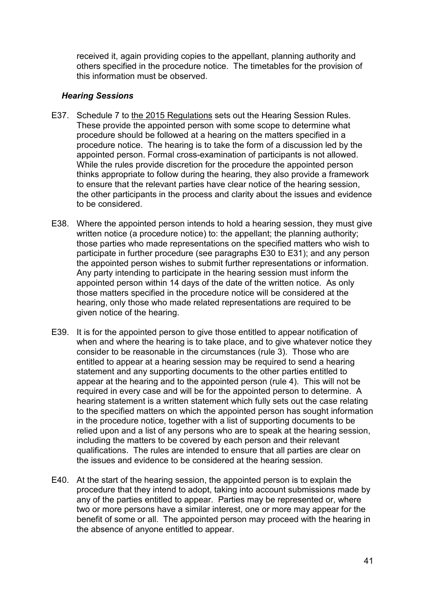received it, again providing copies to the appellant, planning authority and others specified in the procedure notice. The timetables for the provision of this information must be observed.

#### *Hearing Sessions*

- E37. Schedule 7 to the 2015 Regulations sets out the Hearing Session Rules. These provide the appointed person with some scope to determine what procedure should be followed at a hearing on the matters specified in a procedure notice. The hearing is to take the form of a discussion led by the appointed person. Formal cross-examination of participants is not allowed. While the rules provide discretion for the procedure the appointed person thinks appropriate to follow during the hearing, they also provide a framework to ensure that the relevant parties have clear notice of the hearing session, the other participants in the process and clarity about the issues and evidence to be considered.
- E38. Where the appointed person intends to hold a hearing session, they must give written notice (a procedure notice) to: the appellant; the planning authority; those parties who made representations on the specified matters who wish to participate in further procedure (see paragraphs E30 to E31); and any person the appointed person wishes to submit further representations or information. Any party intending to participate in the hearing session must inform the appointed person within 14 days of the date of the written notice. As only those matters specified in the procedure notice will be considered at the hearing, only those who made related representations are required to be given notice of the hearing.
- E39. It is for the appointed person to give those entitled to appear notification of when and where the hearing is to take place, and to give whatever notice they consider to be reasonable in the circumstances (rule 3). Those who are entitled to appear at a hearing session may be required to send a hearing statement and any supporting documents to the other parties entitled to appear at the hearing and to the appointed person (rule 4). This will not be required in every case and will be for the appointed person to determine. A hearing statement is a written statement which fully sets out the case relating to the specified matters on which the appointed person has sought information in the procedure notice, together with a list of supporting documents to be relied upon and a list of any persons who are to speak at the hearing session, including the matters to be covered by each person and their relevant qualifications. The rules are intended to ensure that all parties are clear on the issues and evidence to be considered at the hearing session.
- E40. At the start of the hearing session, the appointed person is to explain the procedure that they intend to adopt, taking into account submissions made by any of the parties entitled to appear. Parties may be represented or, where two or more persons have a similar interest, one or more may appear for the benefit of some or all. The appointed person may proceed with the hearing in the absence of anyone entitled to appear.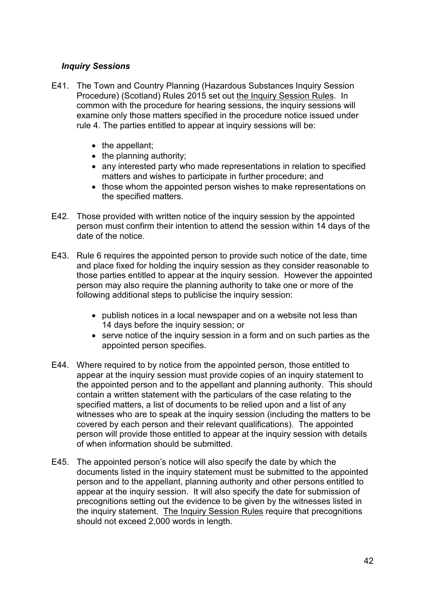### *Inquiry Sessions*

- E41. The Town and Country Planning (Hazardous Substances Inquiry Session Procedure) (Scotland) Rules 2015 set out the Inquiry Session Rules. In common with the procedure for hearing sessions, the inquiry sessions will examine only those matters specified in the procedure notice issued under rule 4. The parties entitled to appear at inquiry sessions will be:
	- the appellant;
	- the planning authority;
	- any interested party who made representations in relation to specified matters and wishes to participate in further procedure; and
	- those whom the appointed person wishes to make representations on the specified matters.
- E42. Those provided with written notice of the inquiry session by the appointed person must confirm their intention to attend the session within 14 days of the date of the notice.
- E43. Rule 6 requires the appointed person to provide such notice of the date, time and place fixed for holding the inquiry session as they consider reasonable to those parties entitled to appear at the inquiry session. However the appointed person may also require the planning authority to take one or more of the following additional steps to publicise the inquiry session:
	- publish notices in a local newspaper and on a website not less than 14 days before the inquiry session; or
	- serve notice of the inquiry session in a form and on such parties as the appointed person specifies.
- E44. Where required to by notice from the appointed person, those entitled to appear at the inquiry session must provide copies of an inquiry statement to the appointed person and to the appellant and planning authority. This should contain a written statement with the particulars of the case relating to the specified matters, a list of documents to be relied upon and a list of any witnesses who are to speak at the inquiry session (including the matters to be covered by each person and their relevant qualifications). The appointed person will provide those entitled to appear at the inquiry session with details of when information should be submitted.
- E45. The appointed person's notice will also specify the date by which the documents listed in the inquiry statement must be submitted to the appointed person and to the appellant, planning authority and other persons entitled to appear at the inquiry session. It will also specify the date for submission of precognitions setting out the evidence to be given by the witnesses listed in the inquiry statement. The Inquiry Session Rules require that precognitions should not exceed 2,000 words in length.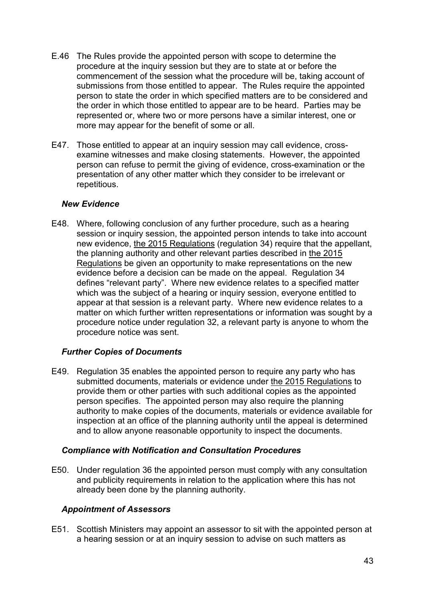- E.46 The Rules provide the appointed person with scope to determine the procedure at the inquiry session but they are to state at or before the commencement of the session what the procedure will be, taking account of submissions from those entitled to appear. The Rules require the appointed person to state the order in which specified matters are to be considered and the order in which those entitled to appear are to be heard. Parties may be represented or, where two or more persons have a similar interest, one or more may appear for the benefit of some or all.
- E47. Those entitled to appear at an inquiry session may call evidence, crossexamine witnesses and make closing statements. However, the appointed person can refuse to permit the giving of evidence, cross-examination or the presentation of any other matter which they consider to be irrelevant or repetitious.

### *New Evidence*

E48. Where, following conclusion of any further procedure, such as a hearing session or inquiry session, the appointed person intends to take into account new evidence, the 2015 Regulations (regulation 34) require that the appellant, the planning authority and other relevant parties described in the 2015 Regulations be given an opportunity to make representations on the new evidence before a decision can be made on the appeal. Regulation 34 defines "relevant party". Where new evidence relates to a specified matter which was the subject of a hearing or inquiry session, everyone entitled to appear at that session is a relevant party. Where new evidence relates to a matter on which further written representations or information was sought by a procedure notice under regulation 32, a relevant party is anyone to whom the procedure notice was sent.

# *Further Copies of Documents*

E49. Regulation 35 enables the appointed person to require any party who has submitted documents, materials or evidence under the 2015 Regulations to provide them or other parties with such additional copies as the appointed person specifies. The appointed person may also require the planning authority to make copies of the documents, materials or evidence available for inspection at an office of the planning authority until the appeal is determined and to allow anyone reasonable opportunity to inspect the documents.

# *Compliance with Notification and Consultation Procedures*

E50. Under regulation 36 the appointed person must comply with any consultation and publicity requirements in relation to the application where this has not already been done by the planning authority.

# *Appointment of Assessors*

E51. Scottish Ministers may appoint an assessor to sit with the appointed person at a hearing session or at an inquiry session to advise on such matters as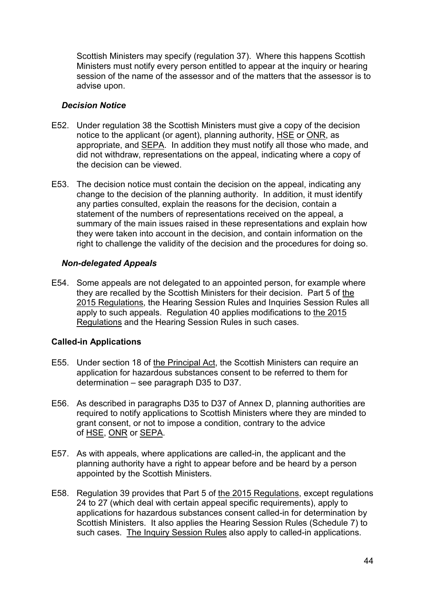Scottish Ministers may specify (regulation 37). Where this happens Scottish Ministers must notify every person entitled to appear at the inquiry or hearing session of the name of the assessor and of the matters that the assessor is to advise upon.

### *Decision Notice*

- E52. Under regulation 38 the Scottish Ministers must give a copy of the decision notice to the applicant (or agent), planning authority, HSE or ONR, as appropriate, and SEPA. In addition they must notify all those who made, and did not withdraw, representations on the appeal, indicating where a copy of the decision can be viewed.
- E53. The decision notice must contain the decision on the appeal, indicating any change to the decision of the planning authority. In addition, it must identify any parties consulted, explain the reasons for the decision, contain a statement of the numbers of representations received on the appeal, a summary of the main issues raised in these representations and explain how they were taken into account in the decision, and contain information on the right to challenge the validity of the decision and the procedures for doing so.

### *Non-delegated Appeals*

E54. Some appeals are not delegated to an appointed person, for example where they are recalled by the Scottish Ministers for their decision. Part 5 of the 2015 Regulations, the Hearing Session Rules and Inquiries Session Rules all apply to such appeals. Regulation 40 applies modifications to the 2015 Regulations and the Hearing Session Rules in such cases.

# **Called-in Applications**

- E55. Under section 18 of the Principal Act, the Scottish Ministers can require an application for hazardous substances consent to be referred to them for determination – see paragraph D35 to D37.
- E56. As described in paragraphs D35 to D37 of Annex D, planning authorities are required to notify applications to Scottish Ministers where they are minded to grant consent, or not to impose a condition, contrary to the advice of HSE, ONR or SEPA.
- E57. As with appeals, where applications are called-in, the applicant and the planning authority have a right to appear before and be heard by a person appointed by the Scottish Ministers.
- E58. Regulation 39 provides that Part 5 of the 2015 Regulations, except regulations 24 to 27 (which deal with certain appeal specific requirements), apply to applications for hazardous substances consent called-in for determination by Scottish Ministers. It also applies the Hearing Session Rules (Schedule 7) to such cases. The Inquiry Session Rules also apply to called-in applications.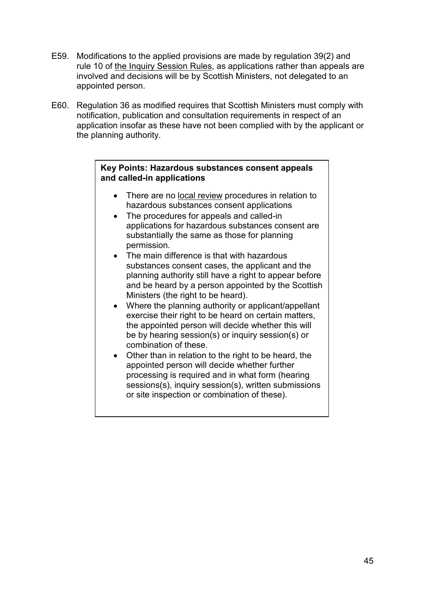- E59. Modifications to the applied provisions are made by regulation 39(2) and rule 10 of the Inquiry Session Rules, as applications rather than appeals are involved and decisions will be by Scottish Ministers, not delegated to an appointed person.
- E60. Regulation 36 as modified requires that Scottish Ministers must comply with notification, publication and consultation requirements in respect of an application insofar as these have not been complied with by the applicant or the planning authority.

#### **Key Points: Hazardous substances consent appeals and called-in applications**

- There are no local review procedures in relation to hazardous substances consent applications
- The procedures for appeals and called-in applications for hazardous substances consent are substantially the same as those for planning permission.
- The main difference is that with hazardous substances consent cases, the applicant and the planning authority still have a right to appear before and be heard by a person appointed by the Scottish Ministers (the right to be heard).
- Where the planning authority or applicant/appellant exercise their right to be heard on certain matters, the appointed person will decide whether this will be by hearing session(s) or inquiry session(s) or combination of these.
- Other than in relation to the right to be heard, the appointed person will decide whether further processing is required and in what form (hearing sessions(s), inquiry session(s), written submissions or site inspection or combination of these).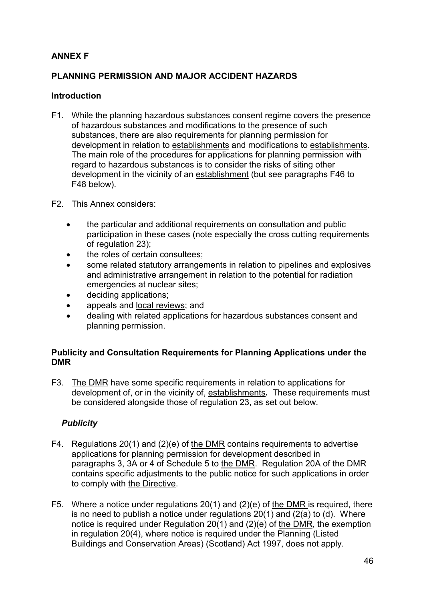# **ANNEX F**

# **PLANNING PERMISSION AND MAJOR ACCIDENT HAZARDS**

# **Introduction**

- F1. While the planning hazardous substances consent regime covers the presence of hazardous substances and modifications to the presence of such substances, there are also requirements for planning permission for development in relation to establishments and modifications to establishments. The main role of the procedures for applications for planning permission with regard to hazardous substances is to consider the risks of siting other development in the vicinity of an establishment (but see paragraphs F46 to F48 below).
- F2. This Annex considers:
	- the particular and additional requirements on consultation and public participation in these cases (note especially the cross cutting requirements of regulation 23);
	- the roles of certain consultees:
	- some related statutory arrangements in relation to pipelines and explosives and administrative arrangement in relation to the potential for radiation emergencies at nuclear sites;
	- deciding applications;
	- appeals and local reviews; and
	- dealing with related applications for hazardous substances consent and planning permission.

### **Publicity and Consultation Requirements for Planning Applications under the DMR**

F3. The DMR have some specific requirements in relation to applications for development of, or in the vicinity of, establishments**.** These requirements must be considered alongside those of regulation 23, as set out below.

# *Publicity*

- F4. Regulations 20(1) and (2)(e) of the DMR contains requirements to advertise applications for planning permission for development described in paragraphs 3, 3A or 4 of Schedule 5 to the DMR. Regulation 20A of the DMR contains specific adjustments to the public notice for such applications in order to comply with the Directive.
- F5. Where a notice under regulations 20(1) and (2)(e) of the DMR is required, there is no need to publish a notice under regulations 20(1) and (2(a) to (d). Where notice is required under Regulation 20(1) and (2)(e) of the DMR, the exemption in regulation 20(4), where notice is required under the Planning (Listed Buildings and Conservation Areas) (Scotland) Act 1997, does not apply.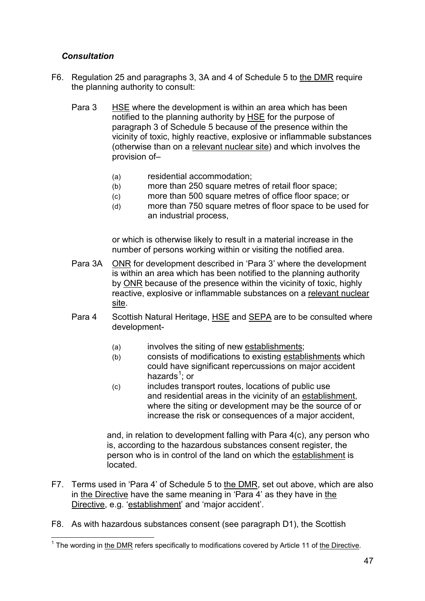# *Consultation*

- F6. Regulation 25 and paragraphs 3, 3A and 4 of Schedule 5 to the DMR require the planning authority to consult:
	- Para 3 HSE where the development is within an area which has been notified to the planning authority by HSE for the purpose of paragraph 3 of Schedule 5 because of the presence within the vicinity of toxic, highly reactive, explosive or inflammable substances (otherwise than on a relevant nuclear site) and which involves the provision of–
		- (a) residential accommodation;
		- (b) more than 250 square metres of retail floor space;
		- (c) more than 500 square metres of office floor space; or
		- (d) more than 750 square metres of floor space to be used for an industrial process,

or which is otherwise likely to result in a material increase in the number of persons working within or visiting the notified area.

- Para 3A ONR for development described in 'Para 3' where the development is within an area which has been notified to the planning authority by ONR because of the presence within the vicinity of toxic, highly reactive, explosive or inflammable substances on a relevant nuclear site.
- Para 4 Scottish Natural Heritage, HSE and SEPA are to be consulted where development-
	- (a) involves the siting of new establishments;
	- (b) consists of modifications to existing establishments which could have significant repercussions on major accident hazards<sup>[1](#page-39-0)</sup>; or
	- (c) includes transport routes, locations of public use and residential areas in the vicinity of an establishment, where the siting or development may be the source of or increase the risk or consequences of a major accident,

and, in relation to development falling with Para 4(c), any person who is, according to the hazardous substances consent register, the person who is in control of the land on which the establishment is located.

- F7. Terms used in 'Para 4' of Schedule 5 to the DMR, set out above, which are also in the Directive have the same meaning in 'Para 4' as they have in the Directive, e.g. 'establishment' and 'major accident'.
- F8. As with hazardous substances consent (see paragraph D1), the Scottish

<span id="page-49-0"></span> $1$  The wording in the DMR refers specifically to modifications covered by Article 11 of the Directive.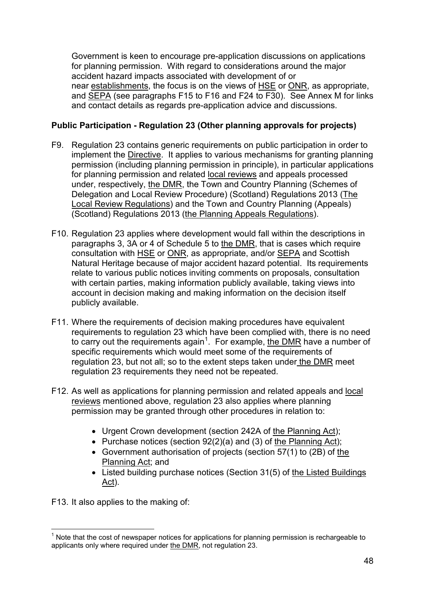Government is keen to encourage pre-application discussions on applications for planning permission. With regard to considerations around the major accident hazard impacts associated with development of or near establishments, the focus is on the views of HSE or ONR, as appropriate, and SEPA (see paragraphs F15 to F16 and F24 to F30). See Annex M for links and contact details as regards pre-application advice and discussions.

# **Public Participation - Regulation 23 (Other planning approvals for projects)**

- F9. Regulation 23 contains generic requirements on public participation in order to implement the Directive. It applies to various mechanisms for granting planning permission (including planning permission in principle), in particular applications for planning permission and related local reviews and appeals processed under, respectively, the DMR, the Town and Country Planning (Schemes of Delegation and Local Review Procedure) (Scotland) Regulations 2013 (The Local Review Regulations) and the Town and Country Planning (Appeals) (Scotland) Regulations 2013 (the Planning Appeals Regulations).
- F10. Regulation 23 applies where development would fall within the descriptions in paragraphs 3, 3A or 4 of Schedule 5 to the DMR, that is cases which require consultation with HSE or ONR, as appropriate, and/or SEPA and Scottish Natural Heritage because of major accident hazard potential. Its requirements relate to various public notices inviting comments on proposals, consultation with certain parties, making information publicly available, taking views into account in decision making and making information on the decision itself publicly available.
- F11. Where the requirements of decision making procedures have equivalent requirements to regulation 23 which have been complied with, there is no need to carry out the requirements again<sup>[1](#page-49-0)</sup>. For example, the DMR have a number of specific requirements which would meet some of the requirements of regulation 23, but not all; so to the extent steps taken under the DMR meet regulation 23 requirements they need not be repeated.
- F12. As well as applications for planning permission and related appeals and local reviews mentioned above, regulation 23 also applies where planning permission may be granted through other procedures in relation to:
	- Urgent Crown development (section 242A of the Planning Act);
	- Purchase notices (section 92(2)(a) and (3) of the Planning Act);
	- Government authorisation of projects (section 57(1) to (2B) of the Planning Act; and
	- Listed building purchase notices (Section 31(5) of the Listed Buildings Act).

F13. It also applies to the making of:

<span id="page-50-0"></span> $<sup>1</sup>$  Note that the cost of newspaper notices for applications for planning permission is rechargeable to</sup> applicants only where required under the DMR, not regulation 23.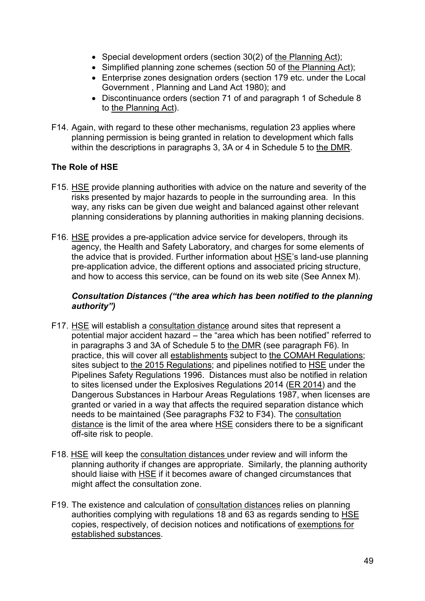- Special development orders (section 30(2) of the Planning Act);
- Simplified planning zone schemes (section 50 of the Planning Act);
- Enterprise zones designation orders (section 179 etc. under the Local Government , Planning and Land Act 1980); and
- Discontinuance orders (section 71 of and paragraph 1 of Schedule 8 to the Planning Act).
- F14. Again, with regard to these other mechanisms, regulation 23 applies where planning permission is being granted in relation to development which falls within the descriptions in paragraphs 3, 3A or 4 in Schedule 5 to the DMR.

# **The Role of HSE**

- F15. HSE provide planning authorities with advice on the nature and severity of the risks presented by major hazards to people in the surrounding area. In this way, any risks can be given due weight and balanced against other relevant planning considerations by planning authorities in making planning decisions.
- F16. HSE provides a pre-application advice service for developers, through its agency, the Health and Safety Laboratory, and charges for some elements of the advice that is provided. Further information about HSE's land-use planning pre-application advice, the different options and associated pricing structure, and how to access this service, can be found on its web site (See Annex M).

### *Consultation Distances ("the area which has been notified to the planning authority")*

- F17. HSE will establish a consultation distance around sites that represent a potential major accident hazard – the "area which has been notified" referred to in paragraphs 3 and 3A of Schedule 5 to the DMR (see paragraph F6). In practice, this will cover all establishments subject to the COMAH Regulations; sites subject to the 2015 Regulations; and pipelines notified to HSE under the Pipelines Safety Regulations 1996. Distances must also be notified in relation to sites licensed under the Explosives Regulations 2014 (ER 2014) and the Dangerous Substances in Harbour Areas Regulations 1987, when licenses are granted or varied in a way that affects the required separation distance which needs to be maintained (See paragraphs F32 to F34). The consultation distance is the limit of the area where HSE considers there to be a significant off-site risk to people.
- F18. HSE will keep the consultation distances under review and will inform the planning authority if changes are appropriate. Similarly, the planning authority should liaise with **HSE** if it becomes aware of changed circumstances that might affect the consultation zone.
- F19. The existence and calculation of consultation distances relies on planning authorities complying with regulations 18 and 63 as regards sending to HSE copies, respectively, of decision notices and notifications of exemptions for established substances.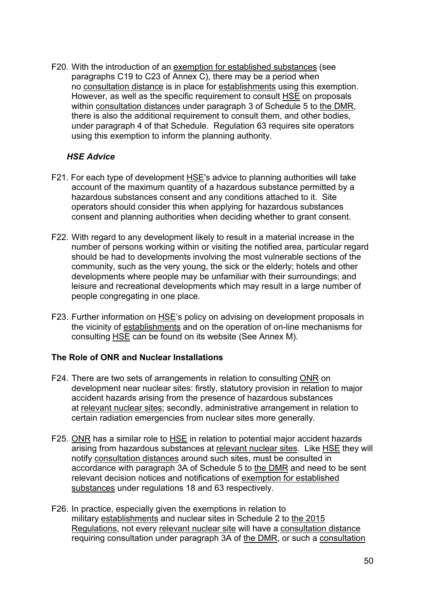F20. With the introduction of an exemption for established substances (see paragraphs C19 to C23 of Annex C), there may be a period when no consultation distance is in place for establishments using this exemption. However, as well as the specific requirement to consult HSE on proposals within consultation distances under paragraph 3 of Schedule 5 to the DMR, there is also the additional requirement to consult them, and other bodies, under paragraph 4 of that Schedule. Regulation 63 requires site operators using this exemption to inform the planning authority.

# *HSE Advice*

- F21. For each type of development HSE's advice to planning authorities will take account of the maximum quantity of a hazardous substance permitted by a hazardous substances consent and any conditions attached to it. Site operators should consider this when applying for hazardous substances consent and planning authorities when deciding whether to grant consent.
- F22. With regard to any development likely to result in a material increase in the number of persons working within or visiting the notified area, particular regard should be had to developments involving the most vulnerable sections of the community, such as the very young, the sick or the elderly; hotels and other developments where people may be unfamiliar with their surroundings; and leisure and recreational developments which may result in a large number of people congregating in one place.
- F23. Further information on HSE's policy on advising on development proposals in the vicinity of establishments and on the operation of on-line mechanisms for consulting HSE can be found on its website (See Annex M).

# **The Role of ONR and Nuclear Installations**

- F24. There are two sets of arrangements in relation to consulting ONR on development near nuclear sites: firstly, statutory provision in relation to major accident hazards arising from the presence of hazardous substances at relevant nuclear sites; secondly, administrative arrangement in relation to certain radiation emergencies from nuclear sites more generally.
- F25. ONR has a similar role to HSE in relation to potential major accident hazards arising from hazardous substances at relevant nuclear sites. Like HSE they will notify consultation distances around such sites, must be consulted in accordance with paragraph 3A of Schedule 5 to the DMR and need to be sent relevant decision notices and notifications of exemption for established substances under regulations 18 and 63 respectively.
- F26. In practice, especially given the exemptions in relation to military establishments and nuclear sites in Schedule 2 to the 2015 Regulations, not every relevant nuclear site will have a consultation distance requiring consultation under paragraph 3A of the DMR, or such a consultation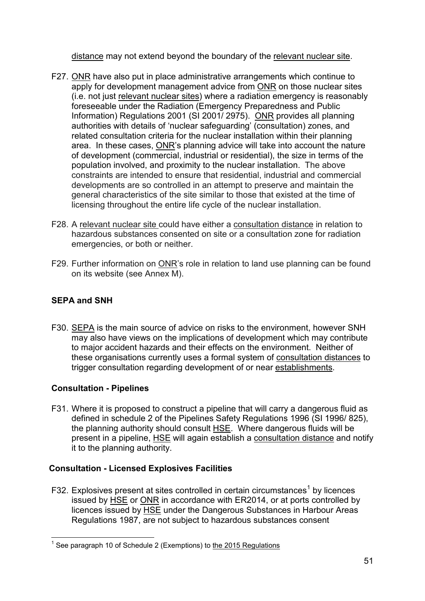distance may not extend beyond the boundary of the relevant nuclear site.

- F27. ONR have also put in place administrative arrangements which continue to apply for development management advice from ONR on those nuclear sites (i.e. not just relevant nuclear sites) where a radiation emergency is reasonably foreseeable under the Radiation (Emergency Preparedness and Public Information) Regulations 2001 (SI 2001/ 2975). ONR provides all planning authorities with details of 'nuclear safeguarding' (consultation) zones, and related consultation criteria for the nuclear installation within their planning area. In these cases, ONR's planning advice will take into account the nature of development (commercial, industrial or residential), the size in terms of the population involved, and proximity to the nuclear installation. The above constraints are intended to ensure that residential, industrial and commercial developments are so controlled in an attempt to preserve and maintain the general characteristics of the site similar to those that existed at the time of licensing throughout the entire life cycle of the nuclear installation.
- F28. A relevant nuclear site could have either a consultation distance in relation to hazardous substances consented on site or a consultation zone for radiation emergencies, or both or neither.
- F29. Further information on ONR's role in relation to land use planning can be found on its website (see Annex M).

# **SEPA and SNH**

F30. SEPA is the main source of advice on risks to the environment, however SNH may also have views on the implications of development which may contribute to major accident hazards and their effects on the environment. Neither of these organisations currently uses a formal system of consultation distances to trigger consultation regarding development of or near establishments.

# **Consultation - Pipelines**

F31. Where it is proposed to construct a pipeline that will carry a dangerous fluid as defined in schedule 2 of the Pipelines Safety Regulations 1996 (SI 1996/ 825), the planning authority should consult **HSE.** Where dangerous fluids will be present in a pipeline, HSE will again establish a consultation distance and notify it to the planning authority.

# **Consultation - Licensed Explosives Facilities**

F32. Explosives present at sites controlled in certain circumstances<sup>[1](#page-50-0)</sup> by licences issued by HSE or ONR in accordance with ER2014, or at ports controlled by licences issued by HSE under the Dangerous Substances in Harbour Areas Regulations 1987, are not subject to hazardous substances consent

<span id="page-53-0"></span> $1$  See paragraph 10 of Schedule 2 (Exemptions) to the 2015 Regulations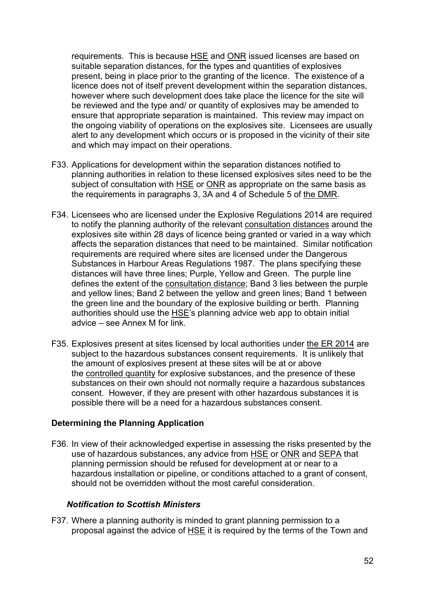requirements. This is because HSE and ONR issued licenses are based on suitable separation distances, for the types and quantities of explosives present, being in place prior to the granting of the licence. The existence of a licence does not of itself prevent development within the separation distances, however where such development does take place the licence for the site will be reviewed and the type and/ or quantity of explosives may be amended to ensure that appropriate separation is maintained. This review may impact on the ongoing viability of operations on the explosives site. Licensees are usually alert to any development which occurs or is proposed in the vicinity of their site and which may impact on their operations.

- F33. Applications for development within the separation distances notified to planning authorities in relation to these licensed explosives sites need to be the subject of consultation with HSE or ONR as appropriate on the same basis as the requirements in paragraphs 3, 3A and 4 of Schedule 5 of the DMR.
- F34. Licensees who are licensed under the Explosive Regulations 2014 are required to notify the planning authority of the relevant consultation distances around the explosives site within 28 days of licence being granted or varied in a way which affects the separation distances that need to be maintained. Similar notification requirements are required where sites are licensed under the Dangerous Substances in Harbour Areas Regulations 1987. The plans specifying these distances will have three lines; Purple, Yellow and Green. The purple line defines the extent of the consultation distance; Band 3 lies between the purple and yellow lines; Band 2 between the yellow and green lines; Band 1 between the green line and the boundary of the explosive building or berth. Planning authorities should use the HSE's planning advice web app to obtain initial advice – see Annex M for link.
- F35. Explosives present at sites licensed by local authorities under the ER 2014 are subject to the hazardous substances consent requirements. It is unlikely that the amount of explosives present at these sites will be at or above the controlled quantity for explosive substances, and the presence of these substances on their own should not normally require a hazardous substances consent. However, if they are present with other hazardous substances it is possible there will be a need for a hazardous substances consent.

#### **Determining the Planning Application**

F36. In view of their acknowledged expertise in assessing the risks presented by the use of hazardous substances, any advice from HSE or ONR and SEPA that planning permission should be refused for development at or near to a hazardous installation or pipeline, or conditions attached to a grant of consent, should not be overridden without the most careful consideration.

#### *Notification to Scottish Ministers*

F37. Where a planning authority is minded to grant planning permission to a proposal against the advice of HSE it is required by the terms of the Town and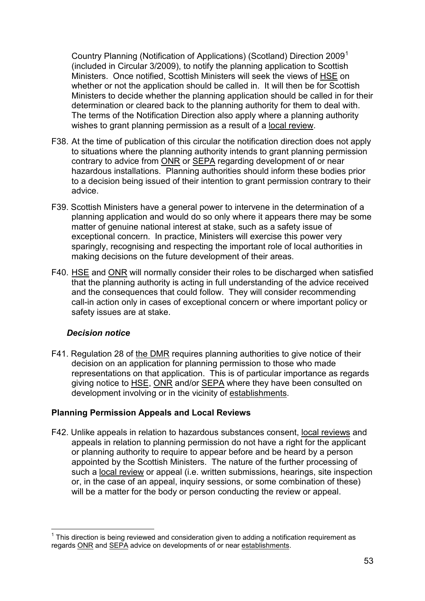Country Planning (Notification of Applications) (Scotland) Direction 2009[1](#page-53-0) (included in Circular 3/2009), to notify the planning application to Scottish Ministers. Once notified, Scottish Ministers will seek the views of HSE on whether or not the application should be called in. It will then be for Scottish Ministers to decide whether the planning application should be called in for their determination or cleared back to the planning authority for them to deal with. The terms of the Notification Direction also apply where a planning authority wishes to grant planning permission as a result of a local review.

- F38. At the time of publication of this circular the notification direction does not apply to situations where the planning authority intends to grant planning permission contrary to advice from ONR or SEPA regarding development of or near hazardous installations. Planning authorities should inform these bodies prior to a decision being issued of their intention to grant permission contrary to their advice.
- F39. Scottish Ministers have a general power to intervene in the determination of a planning application and would do so only where it appears there may be some matter of genuine national interest at stake, such as a safety issue of exceptional concern. In practice, Ministers will exercise this power very sparingly, recognising and respecting the important role of local authorities in making decisions on the future development of their areas.
- F40. HSE and ONR will normally consider their roles to be discharged when satisfied that the planning authority is acting in full understanding of the advice received and the consequences that could follow. They will consider recommending call-in action only in cases of exceptional concern or where important policy or safety issues are at stake.

# *Decision notice*

F41. Regulation 28 of the DMR requires planning authorities to give notice of their decision on an application for planning permission to those who made representations on that application. This is of particular importance as regards giving notice to **HSE, ONR** and/or **SEPA** where they have been consulted on development involving or in the vicinity of establishments.

# **Planning Permission Appeals and Local Reviews**

F42. Unlike appeals in relation to hazardous substances consent, local reviews and appeals in relation to planning permission do not have a right for the applicant or planning authority to require to appear before and be heard by a person appointed by the Scottish Ministers. The nature of the further processing of such a local review or appeal (i.e. written submissions, hearings, site inspection or, in the case of an appeal, inquiry sessions, or some combination of these) will be a matter for the body or person conducting the review or appeal.

<span id="page-55-0"></span> $1$  This direction is being reviewed and consideration given to adding a notification requirement as regards ONR and SEPA advice on developments of or near establishments.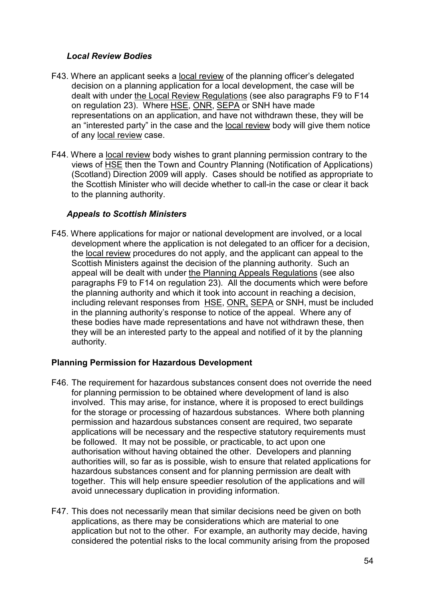### *Local Review Bodies*

- F43. Where an applicant seeks a local review of the planning officer's delegated decision on a planning application for a local development, the case will be dealt with under the Local Review Regulations (see also paragraphs F9 to F14 on regulation 23). Where HSE, ONR, SEPA or SNH have made representations on an application, and have not withdrawn these, they will be an "interested party" in the case and the local review body will give them notice of any local review case.
- F44. Where a local review body wishes to grant planning permission contrary to the views of HSE then the Town and Country Planning (Notification of Applications) (Scotland) Direction 2009 will apply. Cases should be notified as appropriate to the Scottish Minister who will decide whether to call-in the case or clear it back to the planning authority.

### *Appeals to Scottish Ministers*

F45. Where applications for major or national development are involved, or a local development where the application is not delegated to an officer for a decision, the local review procedures do not apply, and the applicant can appeal to the Scottish Ministers against the decision of the planning authority. Such an appeal will be dealt with under the Planning Appeals Regulations (see also paragraphs F9 to F14 on regulation 23). All the documents which were before the planning authority and which it took into account in reaching a decision, including relevant responses from HSE, ONR, SEPA or SNH, must be included in the planning authority's response to notice of the appeal. Where any of these bodies have made representations and have not withdrawn these, then they will be an interested party to the appeal and notified of it by the planning authority.

# **Planning Permission for Hazardous Development**

- F46. The requirement for hazardous substances consent does not override the need for planning permission to be obtained where development of land is also involved. This may arise, for instance, where it is proposed to erect buildings for the storage or processing of hazardous substances. Where both planning permission and hazardous substances consent are required, two separate applications will be necessary and the respective statutory requirements must be followed. It may not be possible, or practicable, to act upon one authorisation without having obtained the other. Developers and planning authorities will, so far as is possible, wish to ensure that related applications for hazardous substances consent and for planning permission are dealt with together. This will help ensure speedier resolution of the applications and will avoid unnecessary duplication in providing information.
- F47. This does not necessarily mean that similar decisions need be given on both applications, as there may be considerations which are material to one application but not to the other. For example, an authority may decide, having considered the potential risks to the local community arising from the proposed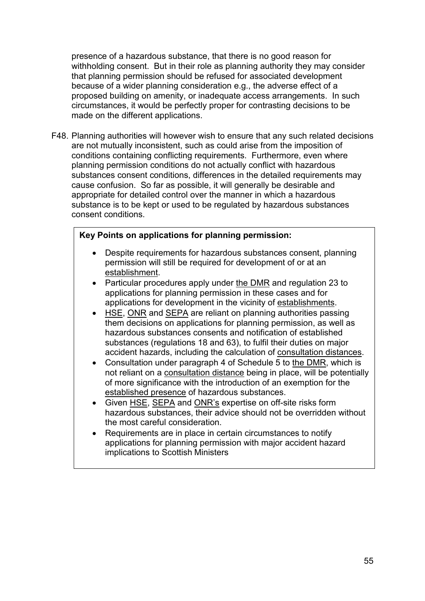presence of a hazardous substance, that there is no good reason for withholding consent. But in their role as planning authority they may consider that planning permission should be refused for associated development because of a wider planning consideration e.g., the adverse effect of a proposed building on amenity, or inadequate access arrangements. In such circumstances, it would be perfectly proper for contrasting decisions to be made on the different applications.

F48. Planning authorities will however wish to ensure that any such related decisions are not mutually inconsistent, such as could arise from the imposition of conditions containing conflicting requirements. Furthermore, even where planning permission conditions do not actually conflict with hazardous substances consent conditions, differences in the detailed requirements may cause confusion. So far as possible, it will generally be desirable and appropriate for detailed control over the manner in which a hazardous substance is to be kept or used to be regulated by hazardous substances consent conditions.

# **Key Points on applications for planning permission:**

- Despite requirements for hazardous substances consent, planning permission will still be required for development of or at an establishment.
- Particular procedures apply under the DMR and regulation 23 to applications for planning permission in these cases and for applications for development in the vicinity of establishments.
- HSE, ONR and SEPA are reliant on planning authorities passing them decisions on applications for planning permission, as well as hazardous substances consents and notification of established substances (regulations 18 and 63), to fulfil their duties on major accident hazards, including the calculation of consultation distances.
- Consultation under paragraph 4 of Schedule 5 to the DMR, which is not reliant on a consultation distance being in place, will be potentially of more significance with the introduction of an exemption for the established presence of hazardous substances.
- Given HSE, SEPA and ONR's expertise on off-site risks form hazardous substances, their advice should not be overridden without the most careful consideration.
- Requirements are in place in certain circumstances to notify applications for planning permission with major accident hazard implications to Scottish Ministers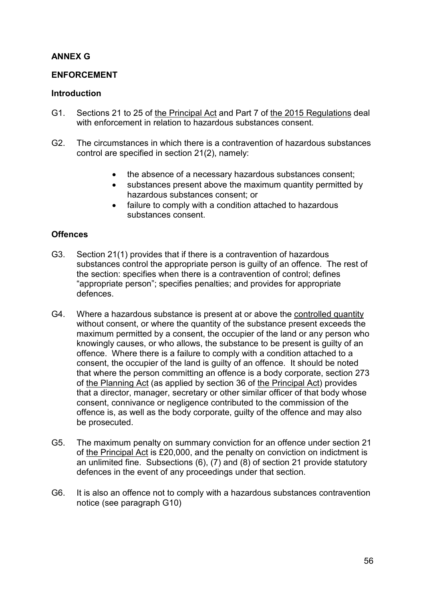# **ANNEX G**

#### **ENFORCEMENT**

#### **Introduction**

- G1. Sections 21 to 25 of the Principal Act and Part 7 of the 2015 Regulations deal with enforcement in relation to hazardous substances consent.
- G2. The circumstances in which there is a contravention of hazardous substances control are specified in section 21(2), namely:
	- the absence of a necessary hazardous substances consent;
	- substances present above the maximum quantity permitted by hazardous substances consent; or
	- failure to comply with a condition attached to hazardous substances consent.

### **Offences**

- G3. Section 21(1) provides that if there is a contravention of hazardous substances control the appropriate person is guilty of an offence. The rest of the section: specifies when there is a contravention of control; defines "appropriate person"; specifies penalties; and provides for appropriate defences.
- G4. Where a hazardous substance is present at or above the controlled quantity without consent, or where the quantity of the substance present exceeds the maximum permitted by a consent, the occupier of the land or any person who knowingly causes, or who allows, the substance to be present is guilty of an offence. Where there is a failure to comply with a condition attached to a consent, the occupier of the land is guilty of an offence. It should be noted that where the person committing an offence is a body corporate, section 273 of the Planning Act (as applied by section 36 of the Principal Act) provides that a director, manager, secretary or other similar officer of that body whose consent, connivance or negligence contributed to the commission of the offence is, as well as the body corporate, guilty of the offence and may also be prosecuted.
- G5. The maximum penalty on summary conviction for an offence under section 21 of the Principal Act is £20,000, and the penalty on conviction on indictment is an unlimited fine. Subsections (6), (7) and (8) of section 21 provide statutory defences in the event of any proceedings under that section.
- G6. It is also an offence not to comply with a hazardous substances contravention notice (see paragraph G10)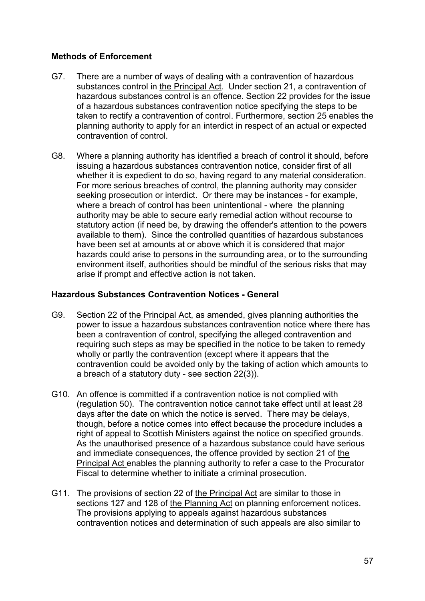### **Methods of Enforcement**

- G7. There are a number of ways of dealing with a contravention of hazardous substances control in the Principal Act. Under section 21, a contravention of hazardous substances control is an offence. Section 22 provides for the issue of a hazardous substances contravention notice specifying the steps to be taken to rectify a contravention of control. Furthermore, section 25 enables the planning authority to apply for an interdict in respect of an actual or expected contravention of control.
- G8. Where a planning authority has identified a breach of control it should, before issuing a hazardous substances contravention notice, consider first of all whether it is expedient to do so, having regard to any material consideration. For more serious breaches of control, the planning authority may consider seeking prosecution or interdict. Or there may be instances - for example, where a breach of control has been unintentional - where the planning authority may be able to secure early remedial action without recourse to statutory action (if need be, by drawing the offender's attention to the powers available to them). Since the controlled quantities of hazardous substances have been set at amounts at or above which it is considered that major hazards could arise to persons in the surrounding area, or to the surrounding environment itself, authorities should be mindful of the serious risks that may arise if prompt and effective action is not taken.

#### **Hazardous Substances Contravention Notices - General**

- G9. Section 22 of the Principal Act, as amended, gives planning authorities the power to issue a hazardous substances contravention notice where there has been a contravention of control, specifying the alleged contravention and requiring such steps as may be specified in the notice to be taken to remedy wholly or partly the contravention (except where it appears that the contravention could be avoided only by the taking of action which amounts to a breach of a statutory duty - see section 22(3)).
- G10. An offence is committed if a contravention notice is not complied with (regulation 50). The contravention notice cannot take effect until at least 28 days after the date on which the notice is served. There may be delays, though, before a notice comes into effect because the procedure includes a right of appeal to Scottish Ministers against the notice on specified grounds. As the unauthorised presence of a hazardous substance could have serious and immediate consequences, the offence provided by section 21 of the Principal Act enables the planning authority to refer a case to the Procurator Fiscal to determine whether to initiate a criminal prosecution.
- G11. The provisions of section 22 of the Principal Act are similar to those in sections 127 and 128 of the Planning Act on planning enforcement notices. The provisions applying to appeals against hazardous substances contravention notices and determination of such appeals are also similar to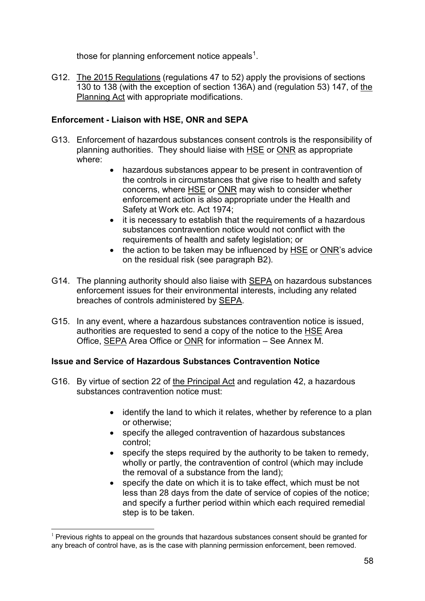those for planning enforcement notice appeals<sup>[1](#page-55-0)</sup>.

G12. The 2015 Regulations (regulations 47 to 52) apply the provisions of sections 130 to 138 (with the exception of section 136A) and (regulation 53) 147, of the Planning Act with appropriate modifications.

# **Enforcement - Liaison with HSE, ONR and SEPA**

- G13. Enforcement of hazardous substances consent controls is the responsibility of planning authorities. They should liaise with HSE or ONR as appropriate where:
	- hazardous substances appear to be present in contravention of the controls in circumstances that give rise to health and safety concerns, where HSE or ONR may wish to consider whether enforcement action is also appropriate under the Health and Safety at Work etc. Act 1974;
	- it is necessary to establish that the requirements of a hazardous substances contravention notice would not conflict with the requirements of health and safety legislation; or
	- the action to be taken may be influenced by HSE or ONR's advice on the residual risk (see paragraph B2).
- G14. The planning authority should also liaise with **SEPA** on hazardous substances enforcement issues for their environmental interests, including any related breaches of controls administered by SEPA.
- G15. In any event, where a hazardous substances contravention notice is issued, authorities are requested to send a copy of the notice to the HSE Area Office, SEPA Area Office or ONR for information – See Annex M.

# **Issue and Service of Hazardous Substances Contravention Notice**

- G16. By virtue of section 22 of the Principal Act and regulation 42, a hazardous substances contravention notice must:
	- identify the land to which it relates, whether by reference to a plan or otherwise;
	- specify the alleged contravention of hazardous substances control;
	- specify the steps required by the authority to be taken to remedy, wholly or partly, the contravention of control (which may include the removal of a substance from the land);
	- specify the date on which it is to take effect, which must be not less than 28 days from the date of service of copies of the notice; and specify a further period within which each required remedial step is to be taken.

<span id="page-60-0"></span> $1$  Previous rights to appeal on the grounds that hazardous substances consent should be granted for any breach of control have, as is the case with planning permission enforcement, been removed.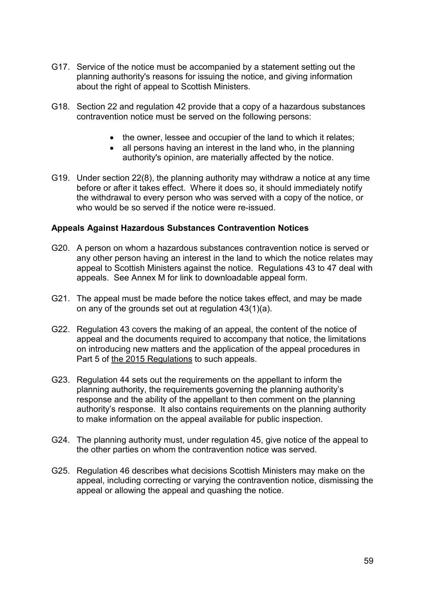- G17. Service of the notice must be accompanied by a statement setting out the planning authority's reasons for issuing the notice, and giving information about the right of appeal to Scottish Ministers.
- G18. Section 22 and regulation 42 provide that a copy of a hazardous substances contravention notice must be served on the following persons:
	- the owner, lessee and occupier of the land to which it relates;
	- all persons having an interest in the land who, in the planning authority's opinion, are materially affected by the notice.
- G19. Under section 22(8), the planning authority may withdraw a notice at any time before or after it takes effect. Where it does so, it should immediately notify the withdrawal to every person who was served with a copy of the notice, or who would be so served if the notice were re-issued.

#### **Appeals Against Hazardous Substances Contravention Notices**

- G20. A person on whom a hazardous substances contravention notice is served or any other person having an interest in the land to which the notice relates may appeal to Scottish Ministers against the notice. Regulations 43 to 47 deal with appeals. See Annex M for link to downloadable appeal form.
- G21. The appeal must be made before the notice takes effect, and may be made on any of the grounds set out at regulation 43(1)(a).
- G22. Regulation 43 covers the making of an appeal, the content of the notice of appeal and the documents required to accompany that notice, the limitations on introducing new matters and the application of the appeal procedures in Part 5 of the 2015 Regulations to such appeals.
- G23. Regulation 44 sets out the requirements on the appellant to inform the planning authority, the requirements governing the planning authority's response and the ability of the appellant to then comment on the planning authority's response. It also contains requirements on the planning authority to make information on the appeal available for public inspection.
- G24. The planning authority must, under regulation 45, give notice of the appeal to the other parties on whom the contravention notice was served.
- G25. Regulation 46 describes what decisions Scottish Ministers may make on the appeal, including correcting or varying the contravention notice, dismissing the appeal or allowing the appeal and quashing the notice.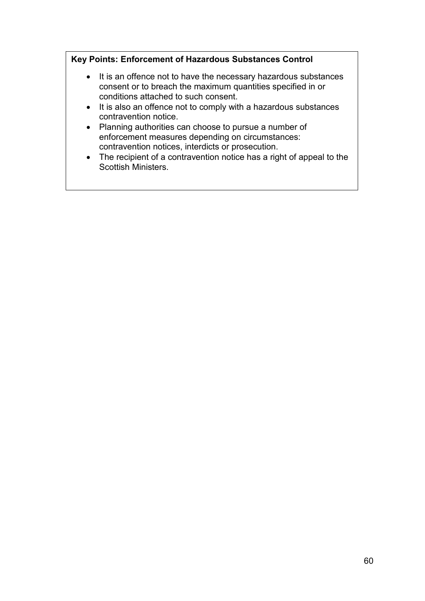# **Key Points: Enforcement of Hazardous Substances Control**

- It is an offence not to have the necessary hazardous substances consent or to breach the maximum quantities specified in or conditions attached to such consent.
- It is also an offence not to comply with a hazardous substances contravention notice.
- Planning authorities can choose to pursue a number of enforcement measures depending on circumstances: contravention notices, interdicts or prosecution.
- The recipient of a contravention notice has a right of appeal to the Scottish Ministers.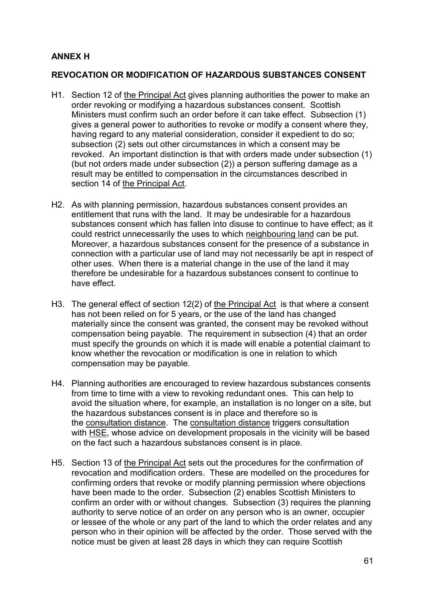# **ANNEX H**

### **REVOCATION OR MODIFICATION OF HAZARDOUS SUBSTANCES CONSENT**

- H1. Section 12 of the Principal Act gives planning authorities the power to make an order revoking or modifying a hazardous substances consent. Scottish Ministers must confirm such an order before it can take effect. Subsection (1) gives a general power to authorities to revoke or modify a consent where they, having regard to any material consideration, consider it expedient to do so; subsection (2) sets out other circumstances in which a consent may be revoked. An important distinction is that with orders made under subsection (1) (but not orders made under subsection (2)) a person suffering damage as a result may be entitled to compensation in the circumstances described in section 14 of the Principal Act.
- H2. As with planning permission, hazardous substances consent provides an entitlement that runs with the land. It may be undesirable for a hazardous substances consent which has fallen into disuse to continue to have effect; as it could restrict unnecessarily the uses to which neighbouring land can be put. Moreover, a hazardous substances consent for the presence of a substance in connection with a particular use of land may not necessarily be apt in respect of other uses. When there is a material change in the use of the land it may therefore be undesirable for a hazardous substances consent to continue to have effect.
- H3. The general effect of section 12(2) of the Principal Act is that where a consent has not been relied on for 5 years, or the use of the land has changed materially since the consent was granted, the consent may be revoked without compensation being payable. The requirement in subsection (4) that an order must specify the grounds on which it is made will enable a potential claimant to know whether the revocation or modification is one in relation to which compensation may be payable.
- H4. Planning authorities are encouraged to review hazardous substances consents from time to time with a view to revoking redundant ones. This can help to avoid the situation where, for example, an installation is no longer on a site, but the hazardous substances consent is in place and therefore so is the consultation distance. The consultation distance triggers consultation with HSE, whose advice on development proposals in the vicinity will be based on the fact such a hazardous substances consent is in place.
- H5. Section 13 of the Principal Act sets out the procedures for the confirmation of revocation and modification orders. These are modelled on the procedures for confirming orders that revoke or modify planning permission where objections have been made to the order. Subsection (2) enables Scottish Ministers to confirm an order with or without changes. Subsection (3) requires the planning authority to serve notice of an order on any person who is an owner, occupier or lessee of the whole or any part of the land to which the order relates and any person who in their opinion will be affected by the order. Those served with the notice must be given at least 28 days in which they can require Scottish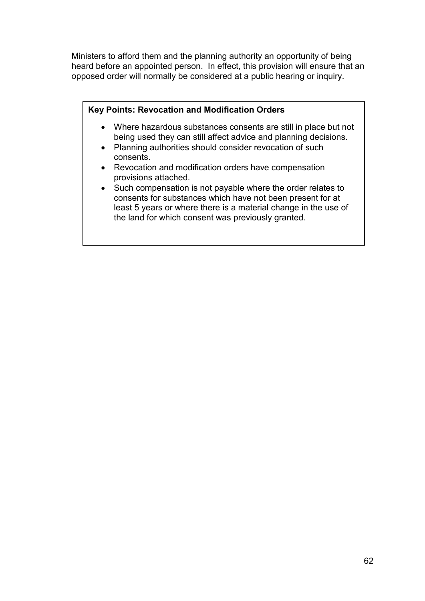Ministers to afford them and the planning authority an opportunity of being heard before an appointed person. In effect, this provision will ensure that an opposed order will normally be considered at a public hearing or inquiry.

### **Key Points: Revocation and Modification Orders**

- Where hazardous substances consents are still in place but not being used they can still affect advice and planning decisions.
- Planning authorities should consider revocation of such consents.
- Revocation and modification orders have compensation provisions attached.
- Such compensation is not payable where the order relates to consents for substances which have not been present for at least 5 years or where there is a material change in the use of the land for which consent was previously granted.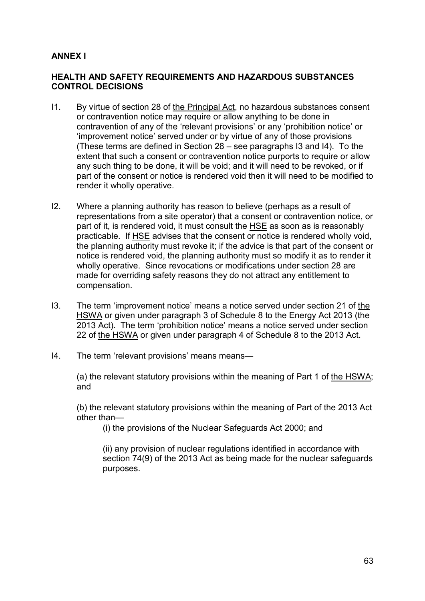# **ANNEX I**

#### **HEALTH AND SAFETY REQUIREMENTS AND HAZARDOUS SUBSTANCES CONTROL DECISIONS**

- I1. By virtue of section 28 of the Principal Act, no hazardous substances consent or contravention notice may require or allow anything to be done in contravention of any of the 'relevant provisions' or any 'prohibition notice' or 'improvement notice' served under or by virtue of any of those provisions (These terms are defined in Section 28 – see paragraphs I3 and I4). To the extent that such a consent or contravention notice purports to require or allow any such thing to be done, it will be void; and it will need to be revoked, or if part of the consent or notice is rendered void then it will need to be modified to render it wholly operative.
- I2. Where a planning authority has reason to believe (perhaps as a result of representations from a site operator) that a consent or contravention notice, or part of it, is rendered void, it must consult the HSE as soon as is reasonably practicable. If HSE advises that the consent or notice is rendered wholly void, the planning authority must revoke it; if the advice is that part of the consent or notice is rendered void, the planning authority must so modify it as to render it wholly operative. Since revocations or modifications under section 28 are made for overriding safety reasons they do not attract any entitlement to compensation.
- I3. The term 'improvement notice' means a notice served under section 21 of the HSWA or given under paragraph 3 of Schedule 8 to the Energy Act 2013 (the 2013 Act). The term 'prohibition notice' means a notice served under section 22 of the HSWA or given under paragraph 4 of Schedule 8 to the 2013 Act.
- I4. The term 'relevant provisions' means means—

(a) the relevant statutory provisions within the meaning of Part 1 of the HSWA; and

(b) the relevant statutory provisions within the meaning of Part of the 2013 Act other than—

(i) the provisions of the Nuclear Safeguards Act 2000; and

(ii) any provision of nuclear regulations identified in accordance with section 74(9) of the 2013 Act as being made for the nuclear safeguards purposes.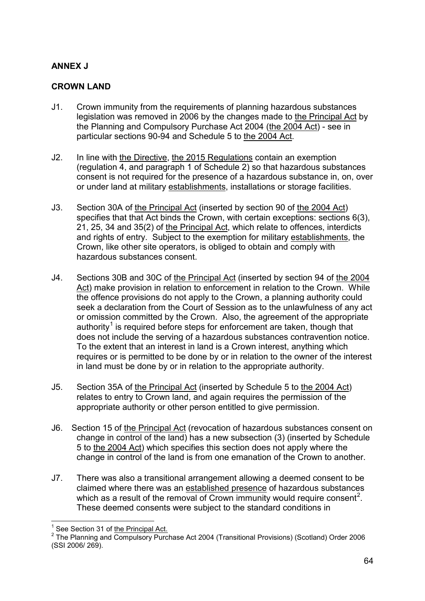# **ANNEX J**

### **CROWN LAND**

- J1. Crown immunity from the requirements of planning hazardous substances legislation was removed in 2006 by the changes made to the Principal Act by the Planning and Compulsory Purchase Act 2004 (the 2004 Act) - see in particular sections 90-94 and Schedule 5 to the 2004 Act.
- J2. In line with the Directive, the 2015 Regulations contain an exemption (regulation 4, and paragraph 1 of Schedule 2) so that hazardous substances consent is not required for the presence of a hazardous substance in, on, over or under land at military establishments, installations or storage facilities.
- J3. Section 30A of the Principal Act (inserted by section 90 of the 2004 Act) specifies that that Act binds the Crown, with certain exceptions: sections 6(3), 21, 25, 34 and 35(2) of the Principal Act, which relate to offences, interdicts and rights of entry. Subject to the exemption for military establishments, the Crown, like other site operators, is obliged to obtain and comply with hazardous substances consent.
- J4. Sections 30B and 30C of the Principal Act (inserted by section 94 of the 2004 Act) make provision in relation to enforcement in relation to the Crown. While the offence provisions do not apply to the Crown, a planning authority could seek a declaration from the Court of Session as to the unlawfulness of any act or omission committed by the Crown. Also, the agreement of the appropriate authority<sup>[1](#page-60-0)</sup> is required before steps for enforcement are taken, though that does not include the serving of a hazardous substances contravention notice. To the extent that an interest in land is a Crown interest, anything which requires or is permitted to be done by or in relation to the owner of the interest in land must be done by or in relation to the appropriate authority.
- J5. Section 35A of the Principal Act (inserted by Schedule 5 to the 2004 Act) relates to entry to Crown land, and again requires the permission of the appropriate authority or other person entitled to give permission.
- J6. Section 15 of the Principal Act (revocation of hazardous substances consent on change in control of the land) has a new subsection (3) (inserted by Schedule 5 to the 2004 Act) which specifies this section does not apply where the change in control of the land is from one emanation of the Crown to another.
- J7. There was also a transitional arrangement allowing a deemed consent to be claimed where there was an established presence of hazardous substances which as a result of the removal of Crown immunity would require consent<sup>[2](#page-66-0)</sup>. These deemed consents were subject to the standard conditions in

<span id="page-66-1"></span><span id="page-66-0"></span><sup>&</sup>lt;sup>1</sup> See Section 31 of the Principal Act.<br><sup>2</sup> The Planning and Compulsory Purchase Act 2004 (Transitional Provisions) (Scotland) Order 2006 (SSI 2006/ 269).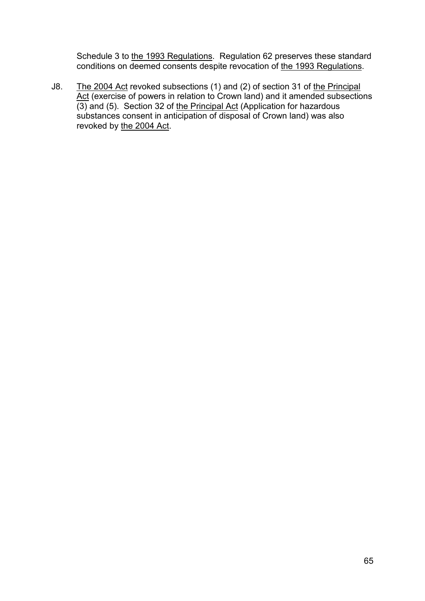Schedule 3 to the 1993 Regulations. Regulation 62 preserves these standard conditions on deemed consents despite revocation of the 1993 Regulations.

J8. The 2004 Act revoked subsections (1) and (2) of section 31 of the Principal Act (exercise of powers in relation to Crown land) and it amended subsections (3) and (5). Section 32 of the Principal Act (Application for hazardous substances consent in anticipation of disposal of Crown land) was also revoked by the 2004 Act.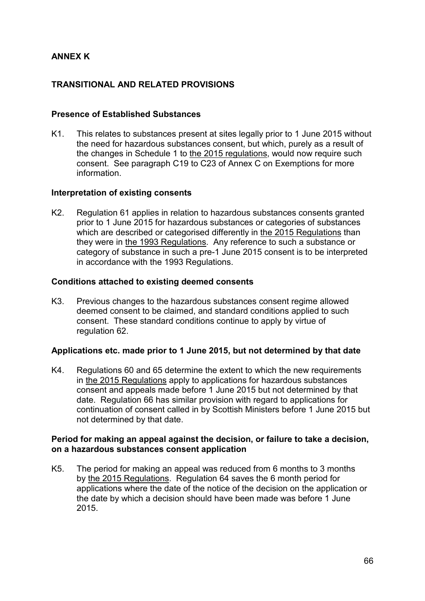# **ANNEX K**

# **TRANSITIONAL AND RELATED PROVISIONS**

#### **Presence of Established Substances**

K1. This relates to substances present at sites legally prior to 1 June 2015 without the need for hazardous substances consent, but which, purely as a result of the changes in Schedule 1 to the 2015 regulations, would now require such consent. See paragraph C19 to C23 of Annex C on Exemptions for more information.

#### **Interpretation of existing consents**

K2. Regulation 61 applies in relation to hazardous substances consents granted prior to 1 June 2015 for hazardous substances or categories of substances which are described or categorised differently in the 2015 Regulations than they were in the 1993 Regulations. Any reference to such a substance or category of substance in such a pre-1 June 2015 consent is to be interpreted in accordance with the 1993 Regulations.

#### **Conditions attached to existing deemed consents**

K3. Previous changes to the hazardous substances consent regime allowed deemed consent to be claimed, and standard conditions applied to such consent. These standard conditions continue to apply by virtue of regulation 62.

#### **Applications etc. made prior to 1 June 2015, but not determined by that date**

K4. Regulations 60 and 65 determine the extent to which the new requirements in the 2015 Regulations apply to applications for hazardous substances consent and appeals made before 1 June 2015 but not determined by that date. Regulation 66 has similar provision with regard to applications for continuation of consent called in by Scottish Ministers before 1 June 2015 but not determined by that date.

#### **Period for making an appeal against the decision, or failure to take a decision, on a hazardous substances consent application**

K5. The period for making an appeal was reduced from 6 months to 3 months by the 2015 Regulations. Regulation 64 saves the 6 month period for applications where the date of the notice of the decision on the application or the date by which a decision should have been made was before 1 June 2015.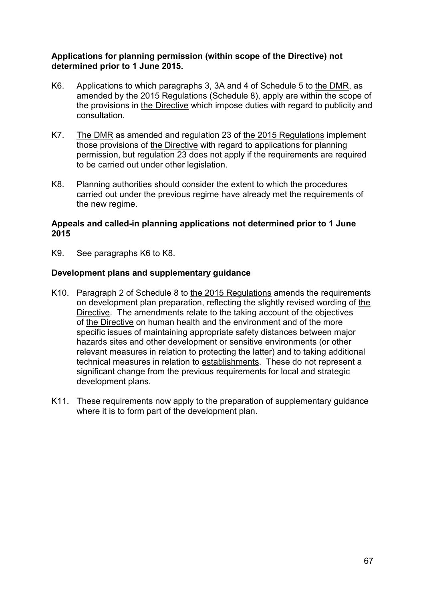#### **Applications for planning permission (within scope of the Directive) not determined prior to 1 June 2015.**

- K6. Applications to which paragraphs 3, 3A and 4 of Schedule 5 to the DMR, as amended by the 2015 Regulations (Schedule 8), apply are within the scope of the provisions in the Directive which impose duties with regard to publicity and consultation.
- K7. The DMR as amended and regulation 23 of the 2015 Regulations implement those provisions of the Directive with regard to applications for planning permission, but regulation 23 does not apply if the requirements are required to be carried out under other legislation.
- K8. Planning authorities should consider the extent to which the procedures carried out under the previous regime have already met the requirements of the new regime.

#### **Appeals and called-in planning applications not determined prior to 1 June 2015**

K9. See paragraphs K6 to K8.

### **Development plans and supplementary guidance**

- K10. Paragraph 2 of Schedule 8 to the 2015 Regulations amends the requirements on development plan preparation, reflecting the slightly revised wording of the Directive. The amendments relate to the taking account of the objectives of the Directive on human health and the environment and of the more specific issues of maintaining appropriate safety distances between major hazards sites and other development or sensitive environments (or other relevant measures in relation to protecting the latter) and to taking additional technical measures in relation to establishments. These do not represent a significant change from the previous requirements for local and strategic development plans.
- K11. These requirements now apply to the preparation of supplementary guidance where it is to form part of the development plan.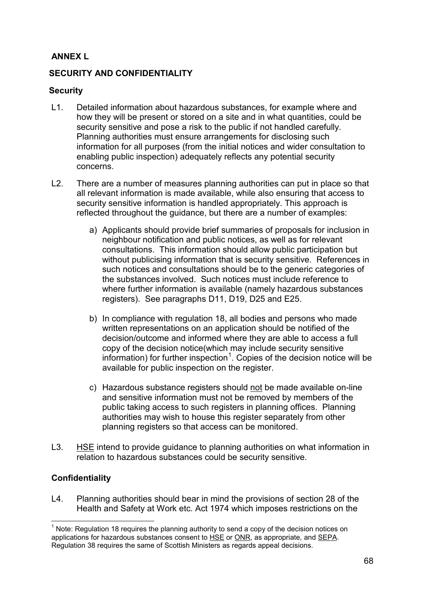# **ANNEX L**

# **SECURITY AND CONFIDENTIALITY**

### **Security**

- L1. Detailed information about hazardous substances, for example where and how they will be present or stored on a site and in what quantities, could be security sensitive and pose a risk to the public if not handled carefully. Planning authorities must ensure arrangements for disclosing such information for all purposes (from the initial notices and wider consultation to enabling public inspection) adequately reflects any potential security concerns.
- L2. There are a number of measures planning authorities can put in place so that all relevant information is made available, while also ensuring that access to security sensitive information is handled appropriately. This approach is reflected throughout the guidance, but there are a number of examples:
	- a) Applicants should provide brief summaries of proposals for inclusion in neighbour notification and public notices, as well as for relevant consultations. This information should allow public participation but without publicising information that is security sensitive. References in such notices and consultations should be to the generic categories of the substances involved. Such notices must include reference to where further information is available (namely hazardous substances registers). See paragraphs D11, D19, D25 and E25.
	- b) In compliance with regulation 18, all bodies and persons who made written representations on an application should be notified of the decision/outcome and informed where they are able to access a full copy of the decision notice(which may include security sensitive information) for further inspection<sup>[1](#page-66-1)</sup>. Copies of the decision notice will be available for public inspection on the register.
	- c) Hazardous substance registers should not be made available on-line and sensitive information must not be removed by members of the public taking access to such registers in planning offices. Planning authorities may wish to house this register separately from other planning registers so that access can be monitored.
- L3. HSE intend to provide guidance to planning authorities on what information in relation to hazardous substances could be security sensitive.

# **Confidentiality**

L4. Planning authorities should bear in mind the provisions of section 28 of the Health and Safety at Work etc. Act 1974 which imposes restrictions on the

 $<sup>1</sup>$  Note: Regulation 18 reguires the planning authority to send a copy of the decision notices on</sup> applications for hazardous substances consent to HSE or ONR, as appropriate, and SEPA. Regulation 38 requires the same of Scottish Ministers as regards appeal decisions.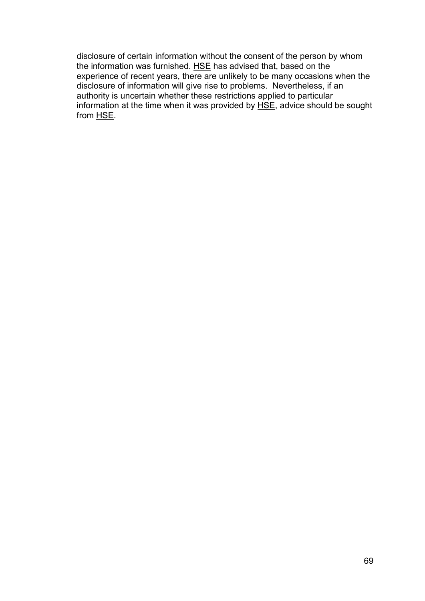disclosure of certain information without the consent of the person by whom the information was furnished. HSE has advised that, based on the experience of recent years, there are unlikely to be many occasions when the disclosure of information will give rise to problems. Nevertheless, if an authority is uncertain whether these restrictions applied to particular information at the time when it was provided by HSE, advice should be sought from HSE.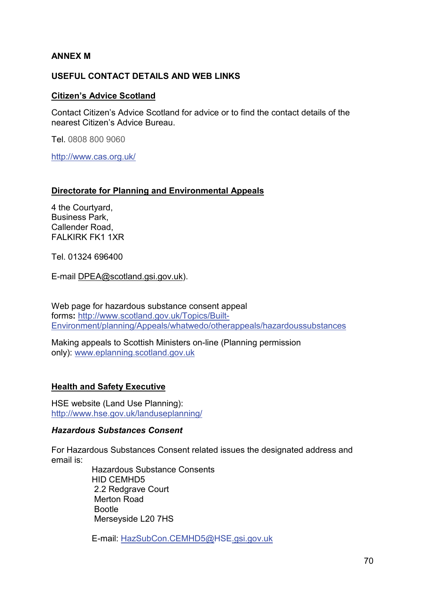## **ANNEX M**

## **USEFUL CONTACT DETAILS AND WEB LINKS**

#### **Citizen's Advice Scotland**

Contact Citizen's Advice Scotland for advice or to find the contact details of the nearest Citizen's Advice Bureau.

Tel. 0808 800 9060

<http://www.cas.org.uk/>

#### **Directorate for Planning and Environmental Appeals**

4 the Courtyard, Business Park, Callender Road, FALKIRK FK1 1XR

Tel. 01324 696400

E-mail [DPEA@scotland.gsi.gov.uk\)](mailto:DPEA@scotland.gsi.gov.uk).

Web page for hazardous substance consent appeal forms**:** [http://www.scotland.gov.uk/Topics/Built-](http://www.scotland.gov.uk/Topics/Built-Environment/planning/Appeals/whatwedo/otherappeals/hazardoussubstances)[Environment/planning/Appeals/whatwedo/otherappeals/hazardoussubstances](http://www.scotland.gov.uk/Topics/Built-Environment/planning/Appeals/whatwedo/otherappeals/hazardoussubstances)

Making appeals to Scottish Ministers on-line (Planning permission only): [www.eplanning.scotland.gov.uk](http://www.eplanning.scotland.gov.uk/)

## **Health and Safety Executive**

HSE website (Land Use Planning): <http://www.hse.gov.uk/landuseplanning/>

#### *Hazardous Substances Consent*

For Hazardous Substances Consent related issues the designated address and email is:

> Hazardous Substance Consents HID CEMHD5 2.2 Redgrave Court Merton Road Bootle Merseyside L20 7HS

E-mail: [HazSubCon.CEMHD5@HSE.gsi.gov.uk](mailto:HazSubCon.CEMHD5@hse.gsi.gov.uk)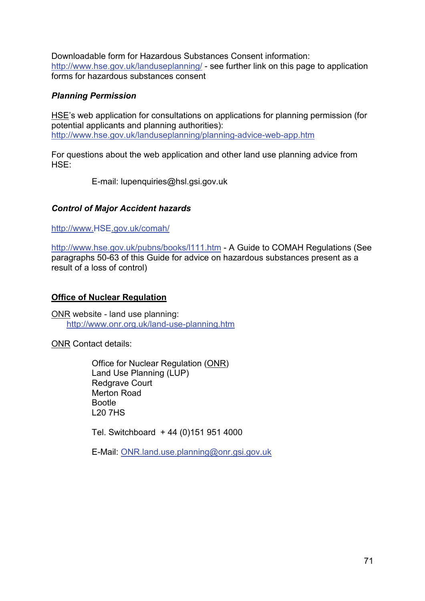Downloadable form for Hazardous Substances Consent information: <http://www.hse.gov.uk/landuseplanning/> - see further link on this page to application forms for hazardous substances consent

## *Planning Permission*

HSE's web application for consultations on applications for planning permission (for potential applicants and planning authorities): <http://www.hse.gov.uk/landuseplanning/planning-advice-web-app.htm>

For questions about the web application and other land use planning advice from HSE:

E-mail: lupenquiries@hsl.gsi.gov.uk

# *Control of Major Accident hazards*

[http://www.HSE.gov.uk/comah/](http://www.hse.gov.uk/comah/)

<http://www.hse.gov.uk/pubns/books/l111.htm> - A Guide to COMAH Regulations (See paragraphs 50-63 of this Guide for advice on hazardous substances present as a result of a loss of control)

## **Office of Nuclear Regulation**

ONR website - land use planning: <http://www.onr.org.uk/land-use-planning.htm>

ONR Contact details:

Office for Nuclear Regulation (ONR) Land Use Planning (LUP) Redgrave Court Merton Road Bootle L20 7HS

Tel. Switchboard + 44 (0)151 951 4000

E-Mail: [ONR.land.use.planning@onr.gsi.gov.uk](mailto:ONR.land.use.planning@onr.gsi.gov.uk)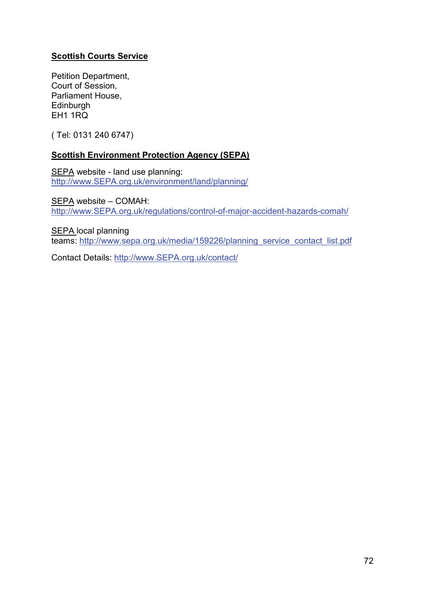# **Scottish Courts Service**

Petition Department, Court of Session, Parliament House, **Edinburgh** EH1 1RQ

( Tel: 0131 240 6747)

## **Scottish Environment Protection Agency (SEPA)**

SEPA website - land use planning: [http://www.SEPA.org.uk/environment/land/planning/](http://www.sepa.org.uk/environment/land/planning/)

SEPA website – COMAH: [http://www.SEPA.org.uk/regulations/control-of-major-accident-hazards-comah/](http://www.sepa.org.uk/regulations/control-of-major-accident-hazards-comah/)

SEPA local planning teams: [http://www.sepa.org.uk/media/159226/planning\\_service\\_contact\\_list.pdf](http://www.sepa.org.uk/media/159226/planning_service_contact_list.pdf)

Contact Details: [http://www.SEPA.org.uk/contact/](http://www.sepa.org.uk/contact/)